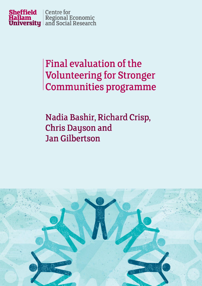

# Final evaluation of the **Volunteering for Stronger Communities programme**

Nadia Bashir, Richard Crisp, **Chris Dayson and Jan Gilbertson** 

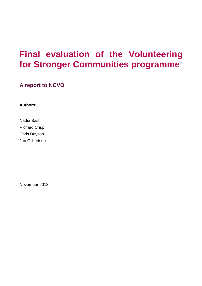## **Final evaluation of the Volunteering for Stronger Communities programme**

**A report to NCVO**

**Authors:**

Nadia Bashir Richard Crisp Chris Dayson Jan Gilbertson

November 2013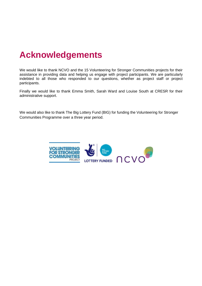### **Acknowledgements**

We would like to thank NCVO and the 15 Volunteering for Stronger Communities projects for their assistance in providing data and helping us engage with project participants. We are particularly indebted to all those who responded to our questions, whether as project staff or project participants.

Finally we would like to thank Emma Smith, Sarah Ward and Louise South at CRESR for their administrative support.

We would also like to thank The Big Lottery Fund (BIG) for funding the Volunteering for Stronger Communities Programme over a three year period.

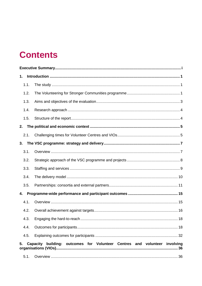### **Contents**

| 1.   |                                                                           |
|------|---------------------------------------------------------------------------|
| 1.1. |                                                                           |
| 1.2. |                                                                           |
| 1.3. |                                                                           |
| 1.4. |                                                                           |
| 1.5. |                                                                           |
| 2.   |                                                                           |
| 2.1. |                                                                           |
| 3.   |                                                                           |
| 3.1. |                                                                           |
| 3.2. |                                                                           |
| 3.3. |                                                                           |
| 3.4. |                                                                           |
| 3.5. |                                                                           |
| 4.   |                                                                           |
| 4.1. |                                                                           |
| 4.2. |                                                                           |
| 4.3. |                                                                           |
| 4.4. |                                                                           |
| 4.5. |                                                                           |
| 5.   | Capacity building: outcomes for Volunteer Centres and volunteer involving |
| 5.1. |                                                                           |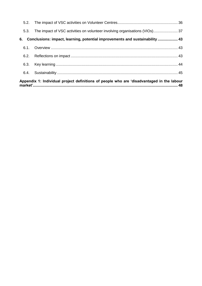|      | Appendix 1: Individual project definitions of people who are 'disadvantaged in the labour |  |
|------|-------------------------------------------------------------------------------------------|--|
|      |                                                                                           |  |
| 6.3. |                                                                                           |  |
| 6.2. |                                                                                           |  |
|      |                                                                                           |  |
| 6.   | Conclusions: impact, learning, potential improvements and sustainability  43              |  |
| 5.3. |                                                                                           |  |
|      |                                                                                           |  |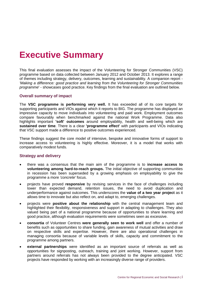### <span id="page-5-0"></span>**Executive Summary**

This final evaluation assesses the impact of the Volunteering for Stronger Communities (VSC) programme based on data collected between January 2012 and October 2013. It explores a range of themes including strategy, delivery, outcomes, learning and sustainability. A companion report - *'Making a difference: good practice and learning from the Volunteering for Stronger Communities programme*' - showcases good practice. Key findings from the final evaluation are outlined below.

#### **Overall summary of impact**

The **VSC programme is performing very well.** It has exceeded all of its core targets for supporting participants and VIOs against which it reports to BIG. The programme has displayed an impressive capacity to move individuals into volunteering and paid work. Employment outcomes compare favourably when benchmarked against the national Work Programme. Data also highlights important **'soft' outcomes** around employability, health and well-being which are **sustained over time**. There is a clear **'programme effect'** with participants and VIOs indicating that VSC support made a difference to positive outcomes experienced.

These findings suggest the core model of intensive, bespoke and innovative forms of support to increase access to volunteering is highly effective. Moreover, it is a model that works with comparatively modest funds.

#### **Strategy and delivery**

- there was a consensus that the main aim of the programme is to **increase access to volunteering among hard-to-reach groups.** The initial objective of supporting communities in recession has been superseded by a growing emphasis on employability to give the programme a more *'concrete'* focus.
- projects have proved **responsive** by revising services in the face of challenges including lower than expected demand, retention issues, the need to avoid duplication and underperformance against outcomes. This underscores the **value of a two year project** as it allows time to innovate but also reflect on, and adapt to, emerging challenges.
- projects were **positive about the relationship** with the central management team and highlighted their flexibility, responsiveness and support in adapting to challenges. They also valued being part of a national programme because of opportunities to share learning and good practice, although evaluation requirements were sometimes seen as excessive.
- **consortia** of Volunteer Centres **were generally seen to work well** and offer a number of benefits such as opportunities to share funding, gain awareness of mutual activities and draw on respective skills and expertise. However, there are also operational challenges in managing consortia because of variable levels of skills, capacity and commitment to the programme among partners.
- **external partnerships** were identified as an important source of referrals as well as opportunities for signposting, outreach, training and joint working. However, support from partners around referrals has not always been provided to the degree anticipated. VSC projects have responded by working with an increasingly diverse range of providers.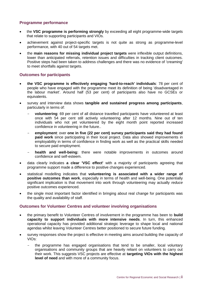#### **Programme performance**

- the **VSC programme is performing strongly** by exceeding all eight programme-wide targets that relate to supporting participants and VIOs.
- achievement against project-specific targets is not quite as strong as programme-level performance, with 40 out of 54 targets met.
- the **main reasons for missing individual project targets** were inflexible output definitions, lower than anticipated referrals, retention issues and difficulties in tracking client outcomes. Positive steps had been taken to address challenges and there was no evidence of 'creaming' to meet shortfalls against targets.

### **Outcomes for participants**

- **the VSC programme is effectively engaging 'hard-to-reach' individuals**: 78 per cent of people who have engaged with the programme meet its definition of being 'disadvantaged in the labour market'. Around half (53 per cent) of participants also have no GCSEs or equivalents.
- survey and interview data shows **tangible and sustained progress among participants**, particularly in terms of:
	- **volunteering**: 69 per cent of all distance travelled participants have volunteered at least once with 54 per cent still actively volunteering after 12 months. Nine out of ten individuals who not yet volunteered by the eight month point reported increased confidence in volunteering in the future..
	- **employment:** over one in five (22 per cent) survey participants said they had found **paid work** since participating in their local project. Data also showed improvements in employability in terms of confidence in finding work as well as the practical skills needed to secure paid employment.
	- health and well-being: there were notable improvements in outcomes around confidence and self-esteem.
- data clearly indicates **a clear 'VSC effect'** with a majority of participants agreeing that programme support made a difference to positive changes experienced.
- statistical modelling indicates that **volunteering is associated with a wider range of positive outcomes than work**, especially in terms of health and well-being. One potentially significant implication is that movement into work through volunteering may actually *reduce* positive outcomes experienced.
- the single most important factor identified in bringing about real change for participants was the quality and availability of staff.

### **Outcomes for Volunteer Centres and volunteer involving organisations**

- the primary benefit to Volunteer Centres of involvement in the programme has been to **build capacity to support individuals with more intensive needs**. In turn, this enhanced operational capacity has provided additional strategic leverage to shape local and national agendas whilst leaving Volunteer Centres better positioned to secure future funding.
- survey responses show the project is effective in meeting aims around building the capacity of VIOs:
	- the programme has engaged organisations that tend to be smaller, local voluntary organisations and community groups that are heavily reliant on volunteers to carry out their work. This suggests VSC projects are effective at **targeting VIOs with the highest level of need** and with more of a community focus.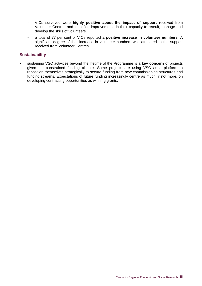- VIOs surveyed were **highly positive about the impact of support** received from Volunteer Centres and identified improvements in their capacity to recruit, manage and develop the skills of volunteers.
- a total of 77 per cent of VIOs reported **a positive increase in volunteer numbers.** A significant degree of that increase in volunteer numbers was attributed to the support received from Volunteer Centres.

#### **Sustainability**

 sustaining VSC activities beyond the lifetime of the Programme is a **key concern** of projects given the constrained funding climate. Some projects are using VSC as a platform to reposition themselves strategically to secure funding from new commissioning structures and funding streams. Expectations of future funding increasingly centre as much, if not more, on developing contracting opportunities as winning grants.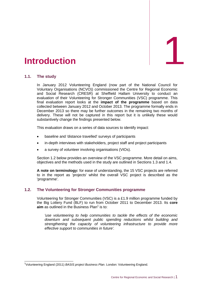<span id="page-8-0"></span>

#### <span id="page-8-1"></span>**1.1. The study**

 $\overline{1}$ 

In January 2012 Volunteering England (now part of the National Council for Voluntary Organisations (NCVO)) commissioned the Centre for Regional Economic and Social Research (CRESR) at Sheffield Hallam University to conduct an evaluation of their Volunteering for Stronger Communities (VSC) programme. This final evaluation report looks at the **impact of the programme** based on data collected between January 2012 and October 2013. The programme formally ends in December 2013 so there may be further outcomes in the remaining two months of delivery. These will not be captured in this report but it is unlikely these would substantively change the findings presented below.

This evaluation draws on a series of data sources to identify impact:

- baseline and 'distance travelled' surveys of participants
- in-depth interviews with stakeholders, project staff and project participants
- a survey of volunteer involving organisations (VIOs).

Section 1.2 below provides an overview of the VSC programme. More detail on aims, objectives and the methods used in the study are outlined in Sections 1.3 and 1.4.

**A note on terminology:** for ease of understanding, the 15 VSC projects are referred to in the report as 'projects' whilst the overall VSC project is described as the 'programme'.

### <span id="page-8-2"></span>**1.2. The Volunteering for Stronger Communities programme**

Volunteering for Stronger Communities (VSC) is a £1.9 million programme funded by the Big Lottery Fund (BLF) to run from October 2011 to December 2013. Its **core**  aim as outlined in the Business Plan<sup>1</sup> is to:

*'use volunteering to help communities to tackle the effects of the economic downturn and subsequent public spending reductions whilst building and strengthening the capacity of volunteering infrastructure to provide more effective support to communities in future'.*

<sup>1</sup> Volunteering England (2011) *BASIS project Business Plan*. London: Volunteering England.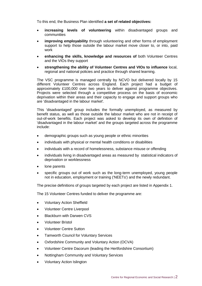To this end, the Business Plan identified **a set of related objectives:**

- **increasing levels of volunteering** within disadvantaged groups and communities
- **improving employability** through volunteering and other forms of employment support to help those outside the labour market move closer to, or into, paid work
- **enhancing the skills, knowledge and resources of** both Volunteer Centres and the VIOs they support
- **strengthening the ability of Volunteer Centres and VIOs to influence** local, regional and national policies and practice through shared learning.

The VSC programme is managed centrally by NCVO but delivered locally by 15 different Volunteer Centres across England. Each project had a budget of approximately £100,000 over two years to deliver against programme objectives. Projects were selected through a competitive process on the basis of economic deprivation within their areas and their capacity to engage and support groups who are 'disadvantaged in the labour market'.

This 'disadvantaged' group includes the formally unemployed, as measured by benefit status, as well as those outside the labour market who are not in receipt of out-of-work benefits. Each project was asked to develop its own of definition of 'disadvantaged in the labour market' and the groups targeted across the programme include:

- demographic groups such as young people or ethnic minorities
- individuals with physical or mental health conditions or disabilities
- individuals with a record of homelessness, substance misuse or offending
- individuals living in disadvantaged areas as measured by statistical indicators of deprivation or worklessness
- lone parents
- specific groups out of work such as the long-term unemployed, young people not in education, employment or training ('NEETs') and the newly redundant.

The precise definitions of groups targeted by each project are listed in Appendix 1.

The 15 Volunteer Centres funded to deliver the programme are:

- Voluntary Action Sheffield
- Volunteer Centre Liverpool
- Blackburn with Darwen CVS
- Volunteer Bristol
- Volunteer Centre Sutton
- Tamworth Council for Voluntary Services
- Oxfordshire Community and Voluntary Action (OCVA)
- Volunteer Centre Dacorum (leading the Hertfordshire Consortium)
- Nottingham Community and Voluntary Services
- Voluntary Action Islington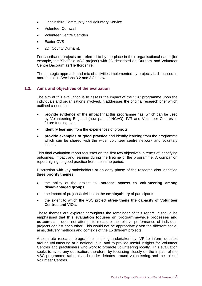- Lincolnshire Community and Voluntary Service
- Volunteer Cornwall
- Volunteer Centre Camden
- Exeter CVS
- 2D (County Durham).

For shorthand, projects are referred to by the place in their organisational name (for example, the 'Sheffield VSC project') with 2D described as 'Durham' and Volunteer Centre Dacorum as 'Hertfordshire'.

The strategic approach and mix of activities implemented by projects is discussed in more detail in Sections 3.2 and 3.3 below.

#### <span id="page-10-0"></span>**1.3. Aims and objectives of the evaluation**

The aim of this evaluation is to assess the impact of the VSC programme upon the individuals and organisations involved. It addresses the original research brief which outlined a need to:

- **provide evidence of the impact** that this programme has, which can be used by Volunteering England (now part of NCVO), IVR and Volunteer Centres in future funding bids
- **identify learning** from the experiences of projects
- **provide examples of good practice** and identify learning from the programme which can be shared with the wider volunteer centre network and voluntary sector.

This final evaluation report focusses on the first two objectives in terms of identifying outcomes, impact and learning during the lifetime of the programme. A companion report highlights good practice from the same period.

Discussion with key stakeholders at an early phase of the research also identified three **priority themes**:

- the ability of the project to **increase access to volunteering among disadvantaged groups**
- the impact of project activities on the **employability** of participants
- the extent to which the VSC project **strengthens the capacity of Volunteer Centres and VIOs.**

These themes are explored throughout the remainder of this report. It should be emphasised that **this evaluation focuses on programme-wide processes and outcomes**. It does not attempt to measure the relative performance of individual projects against each other. This would not be appropriate given the different scale, aims, delivery methods and contexts of the 15 different projects.

A separate research programme is being undertaken by IVR to inform debates around volunteering at a national level and to provide useful insights for Volunteer Centres and practitioners who work to promote volunteering locally. This evaluation seeks to avoid any duplication, therefore, by focussing closely on the impact of the VSC programme rather than broader debates around volunteering and the role of Volunteer Centres.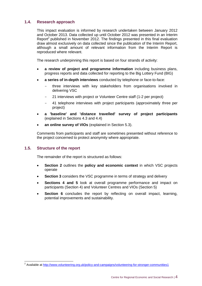### <span id="page-11-0"></span>**1.4. Research approach**

This impact evaluation is informed by research undertaken between January 2012 and October 2013. Data collected up until October 2012 was presented in an Interim Report<sup>2</sup> published in November 2012. The findings presented in this final evaluation draw almost exclusively on data collected since the publication of the Interim Report, although a small amount of relevant information from the Interim Report is reproduced where relevant.

The research underpinning this report is based on four strands of activity:

- **a review of project and programme information** including business plans, progress reports and data collected for reporting to the Big Lottery Fund (BIG)
- **a series of in-depth interviews** conducted by telephone or face-to-face:
	- three interviews with key stakeholders from organisations involved in delivering VSC
	- 21 interviews with project or Volunteer Centre staff (1-2 per project)
	- 41 telephone interviews with project participants (approximately three per project)
- **a 'baseline' and 'distance travelled' survey of project participants**  (explained in Sections 4.3 and 4.4)
- **an online survey of VIOs** (explained in Section 5.3).

Comments from participants and staff are sometimes presented without reference to the project concerned to protect anonymity where appropriate.

#### <span id="page-11-1"></span>**1.5. Structure of the report**

The remainder of the report is structured as follows:

- **Section 2** outlines the **policy and economic context** in which VSC projects operate
- **Section 3** considers the VSC programme in terms of strategy and delivery
- **Sections 4 and 5** look at overall programme performance and impact on participants (Section 4) and Volunteer Centres and VIOs (Section 5)
- **Section 6** concludes the report by reflecting on overall impact, learning, potential improvements and sustainability.

 2 Available at<http://www.volunteering.org.uk/policy-and-campaigns/volunteering-for-stronger-communities1>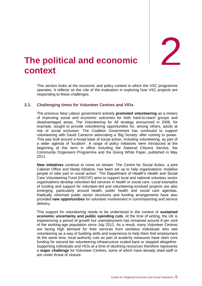2

### <span id="page-12-0"></span>**The political and economic context**

This section looks at the economic and policy context in which the VSC programme operates. It reflects on the role of the evaluation in exploring how VSC projects are responding to these challenges.

#### <span id="page-12-1"></span>**2.1. Challenging times for Volunteer Centres and VIOs**

The previous New Labour government actively **promoted volunteering** as a means of improving social and economic outcomes for both hard-to-reach groups and disadvantaged areas. The *Volunteering for All* strategy announced in 2006, for example, sought to provide volunteering opportunities for, among others, adults at risk of social exclusion. The Coalition Government has continued to support volunteering with David Cameron advocating a 'Big Society' after coming to power. This was built around a broad base of social action, including volunteering, as part of a wider agenda of 'localism'. A range of policy initiatives were introduced at the beginning of this term in office including the National Citizens Service, the Community Organisers Programme and the Giving White Paper, published in May 2011.

**New initiatives** continue to come on stream. The Centre for Social Action, a joint Cabinet Office and Nesta initiative, has been set up to help organisations *'mobilise people to take part in social action'*. The Department of Health's Health and Social Care Volunteering Fund (HSCVF) aims to support local and national voluntary sector organisations develop volunteer-led services in health or social care. Local examples of funding and support for volunteer-led and volunteering-involved projects are also emerging, particularly around health, public health and social care agendas. Radically reformed public sector structures and funding arrangements have also provided **new opportunities** for volunteer involvement in commissioning and service delivery.

This support for volunteering needs to be understood in the context of **sustained economic uncertainty and public spending cuts**. At the time of writing, the UK is experiencing a period of growth but unemployment has remained around 8 per cent of the working-age population since July 2011. As a result, many Volunteer Centres are facing high demand for their services from workless individuals who see volunteering as a way of building skills and experience to help them find employment. At the same time, local authority cuts as part of austerity measures have seen core funding for second tier volunteering infrastructure scaled back or stopped altogether. Supporting individuals and VIOs at a time of declining resources therefore represents a **major challenge** for Volunteer Centres, some of which have already shed staff or are under threat of closure.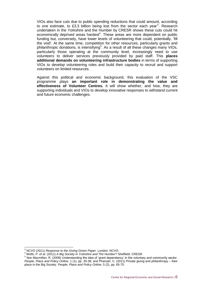VIOs also face cuts due to public spending reductions that could amount, according to one estimate, to £3.3 billion being lost from the sector each year<sup>3</sup>. Research undertaken in the Yorkshire and the Humber by CRESR shows these cuts could hit economically deprived areas hardest<sup>4</sup>. These areas are more dependent on public funding but, conversely, have lower levels of volunteering that could, potentially, 'fill the void'. At the same time, competition for other resources, particularly grants and philanthropic donations, is intensifying<sup>5</sup>. As a result of all these changes many VIOs, particularly those operating at the community level, increasingly need to use volunteers to deliver services previously provided by paid staff. This **places additional demands on volunteering infrastructure bodies** in terms of supporting VIOs to develop volunteering roles and build their capacity to recruit and support volunteers on limited resources.

Against this political and economic background, this evaluation of the VSC programme plays **an important role in demonstrating the value and effectiveness of Volunteer Centres.** It will show whether, and how, they are supporting individuals and VIOs to develop innovative responses to withstand current and future economic challenges.

-

<sup>3</sup> NCVO (2011) *Response to the Giving Green Paper*. London: NCVO.

<sup>4</sup> Wells, P. *et al*. (2011) *A Big Society in Yorkshire and The Humber*? Sheffield: CRESR.

<sup>&</sup>lt;sup>5</sup> See Macmillan, R. (2008) Understanding the idea of 'grant dependency' in the voluntary and community sector. *People, Place and Policy Online,* 1 (1), pp. 30-38; and Pharoah, C. (2011) Private giving and philanthropy – their place in the Big Society. *People, Place and Policy Online*, 5 (2), pp. 65-75.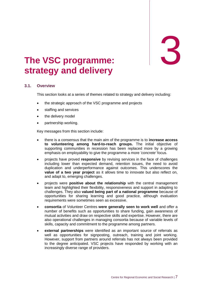3

### <span id="page-14-0"></span>3. **The VSC programme: strategy and delivery**

#### <span id="page-14-1"></span>**3.1. Overview**

This section looks at a series of themes related to strategy and delivery including:

- the strategic approach of the VSC programme and projects
- staffing and services
- the delivery model
- partnership working.

Key messages from this section include:

- there is a consensus that the main aim of the programme is to **increase access to volunteering among hard-to-reach groups.** The initial objective of supporting communities in recession has been replaced more by a growing emphasis on employability to give the programme a more *'concrete'* focus.
- projects have proved **responsive** by revising services in the face of challenges including lower than expected demand, retention issues, the need to avoid duplication and underperformance against outcomes. This underscores the **value of a two year project** as it allows time to innovate but also reflect on, and adapt to, emerging challenges.
- projects were **positive about the relationship** with the central management team and highlighted their flexibility, responsiveness and support in adapting to challenges. They also **valued being part of a national programme** because of opportunities for sharing learning and good practice, although evaluation requirements were sometimes seen as excessive.
- **consortia** of Volunteer Centres **were generally seen to work well** and offer a number of benefits such as opportunities to share funding, gain awareness of mutual activities and draw on respective skills and expertise. However, there are also operational challenges in managing consortia because of variable levels of skills, capacity and commitment to the programme among partners.
- **external partnerships** were identified as an important source of referrals as well as opportunities for signposting, outreach, training and joint working. However, support from partners around referrals has not always been provided to the degree anticipated. VSC projects have responded by working with an increasingly diverse range of providers.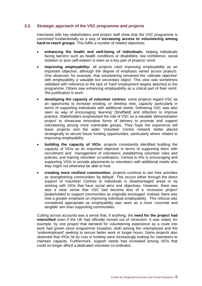#### <span id="page-15-0"></span>**3.2. Strategic approach of the VSC programme and projects**

Interviews with key stakeholders and project staff show that the VSC programme is conceived fundamentally as a way of **increasing access to volunteering among hard-to-reach groups**. This fulfils a number of related objectives:

- **enhancing the health and well-being of individuals:** helping individuals facing barriers such as health conditions or disabilities, low confidence, social isolation or poor self-esteem is seen as a key part of projects' remit.
- **improving employability:** all projects cited improving employability as an important objective, although the degree of emphasis varied across projects. One observed, for example, that volunteering remained the '*ultimate objective*' with employability a valuable but secondary object. This view was sometimes validated with reference to the lack of 'hard' employment targets attached to the programme. Others saw enhancing employability as a critical part of their remit: *'the justification is work*'.
- **developing the capacity of volunteer centres:** some projects regard VSC as an opportunity to increase existing, or develop new, capacity particularly in terms of supporting individuals with additional needs. Delivering VSC was also seen as way of encouraging *'learning'* [Sheffield] and reflection to improve practice. Stakeholders emphasised the role of VSC as a valuable 'demonstration project' to showcase innovative forms of delivery to promote and support volunteering among more vulnerable groups. They hope the experience will leave projects and the wider Volunteer Centre network better placed strategically to secure future funding opportunities, particularly where related to improving employability.
- **building the capacity of VIOs:** projects consistently identified building the capacity of VIOs as an important objective in terms of supporting them with recruitment and management of volunteers; establishing volunteer roles and policies; and training volunteer co-ordinators. Central to this is encouraging and supporting VIOs to provide placements to volunteers with additional needs who they might not otherwise be able to host
- **creating more resilient communities:** projects continue to see their activities as strengthening communities 'by default'. This occurs either through the direct support of Volunteer Centres to individuals in disadvantaged areas or by working with VIOs that have social aims and objectives. However, there was also a clear sense that VSC had become less of a *'recession project'*  [stakeholder] to support communities as originally envisaged. Instead, there was now a greater emphasis on improving individual employability. This refocus was considered appropriate as employability was seen as a more '*concrete and tangible'* aim than supporting communities.

Cutting across accounts was a sense that, if anything, the **need for the project had intensified** even if the UK had officially moved out of recession. It was noted, for example, by one project that demand for volunteering experience as a route into work had grown since programme inception, both among the unemployed and the 'underemployed' seeking to secure better work or longer hours. Some projects also observed that VIOs hit by cuts in funding were increasingly looking for volunteers to maintain capacity. Furthermore, support needs had increased among VIOs that could no longer afford a dedicated volunteer co-ordinator.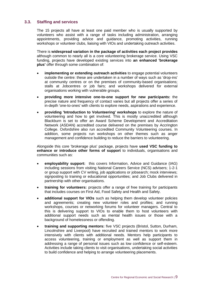### <span id="page-16-0"></span>**3.3. Staffing and services**

The 15 projects all have at least one paid member who is usually supported by volunteers who assist with a range of tasks including administration, arranging appointments, providing advice and guidance, promoting activities, running workshops or volunteer clubs, liaising with VIOs and undertaking outreach activities.

There is **widespread variation in the package of activities each project provides**  although common to nearly all is a core volunteering brokerage service. Using VSC funding, projects have developed existing services into **an enhanced 'brokerage plus'** offer through some combination of:

- **implementing or extending outreach activities** to engage potential volunteers outside the centre: these are undertaken in a number of ways such as 'drop-ins' at community centres or on the premises of community-based organisations; stalls at Jobcentres or job fairs; and workshops delivered for external organisations working with vulnerable groups.
- **providing more intensive one-to-one support for new participants:** the precise nature and frequency of contact varies but all projects offer a series of in-depth 'one-to-ones' with clients to explore needs, aspirations and experience.
- **providing 'Introduction to Volunteering' workshops** to explore the nature of volunteering and how to get involved. This is mostly unaccredited although Blackburn is set to offer an Award Scheme Development and Accreditation Network (ASDAN) accredited course delivered on the premises by Accrington College. Oxfordshire also run accredited Community Volunteering courses. In addition, some projects run workshops on other themes such as anger management and confidence building to reduce the barriers to volunteering.

Alongside this core 'brokerage plus' package, projects have **used VSC funding to enhance or introduce other forms of support** to individuals, organisations and communities such as:

- **employability support:** this covers Information, Advice and Guidance (IAG) including sessions from visiting National Careers Service (NCS) advisers; 1-2-1 or group support with CV writing, job applications or jobsearch; mock interviews; signposting to training or educational opportunities; and Job Clubs delivered in partnership with other organisations.
- **training for volunteers:** projects offer a range of free training for participants that includes courses on First Aid, Food Safety and Health and Safety.
- **additional support for VIOs** such as helping them develop volunteer policies and agreements; creating new volunteer roles and profiles; and running workshops, courses or networking forums for volunteer managers. Central to this is delivering support to VIOs to enable them to host volunteers with additional support needs such as mental health issues or those with a background of homelessness or offending.
- **training and supporting mentors:** five VSC projects (Bristol, Sutton, Durham, Lincolnshire and Liverpool) have recruited and trained mentors to work more intensively with clients with additional needs. Mentors help participants to access volunteering, training or employment as well as support them in addressing a range of personal issues such as low confidence or self-esteem. Activities include taking clients to visit organisations, undertaking social activities to build confidence and helping to arrange volunteering placements.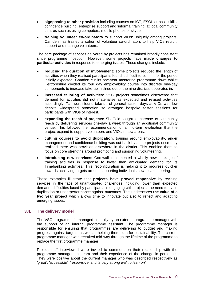- **signposting to other provision** including courses on ICT, ESOL or basic skills, confidence building, enterprise support and 'informal training' at local community centres such as using computers, mobile phones or skype.
- **training volunteer co-ordinators** to support VIOs: uniquely among projects, Camden has trained a cohort of volunteer co-ordinators to help VIOs recruit, support and manage volunteers.

The core package of services delivered by projects has remained broadly consistent since programme inception. However, some projects have **made changes to particular activities** in response to emerging issues. These changes include:

- **reducing the duration of involvement:** some projects reduced the length of activities when they realised participants found it difficult to commit for the period initially expected. Camden cut its one-year mentoring programme down whilst Hertfordshire divided its four day employability course into discrete one-day components to increase take-up in three out of the nine districts it operates in.
- **increased tailoring of activities:** VSC projects sometimes discovered that demand for activities did not materialise as expected and revised activities accordingly. Tamworth found take-up of general 'taster' days at VIOs was low despite widespread promotion so arranged bespoke taster sessions for participants with VIOs of interest.
- **expanding the reach of projects:** Sheffield sought to increase its community reach by delivering services one-day a week through an additional community venue. This followed the recommendation of a mid-term evaluation that the project expand to support volunteers and VIOs in new areas.
- **cutting courses to avoid duplication:** training around employability, anger management and confidence building was cut back by some projects once they realised there was provision elsewhere in the district. This enabled them to focus on core strengths around promoting and supporting volunteering.
- **introducing new services:** Cornwall implemented a wholly new package of training activities in response to lower than anticipated demand for its Timebanking activities. This reconfiguration is helping it to progress quicker towards achieving targets around supporting individuals new to volunteering.

These examples illustrate that **projects have proved responsive** by revising services in the face of unanticipated challenges including lower than expected demand, difficulties faced by participants in engaging with projects, the need to avoid duplication or underperformance against outcomes. This underscores **the value of a two year project** which allows time to innovate but also to reflect and adapt to emerging issues.

#### <span id="page-17-0"></span>**3.4. The delivery model**

The VSC programme is managed centrally by an external programme manager with the support of an internal programme assistant. The programme manager is responsible for ensuring that programmes are delivering to budget and making progress against targets, as well as helping them plan for sustainability. The current programme manager was recruited mid-way through the lifetime of the programme to replace the first programme manager.

Project staff interviewed were invited to comment on their relationship with the programme management team and their experience of the change in personnel. They were positive about the current manager who was described respectively as *'great'*, *'accessible', 'responsive'* and *'a very strong wall to lean on'.*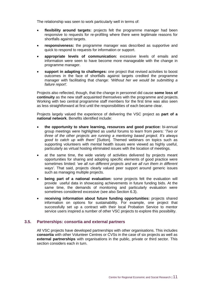The relationship was seen to work particularly well in terms of:

- **flexibility around targets:** projects felt the programme manager had been responsive to requests for re-profiling where there were legitimate reasons for shortfalls against targets.
- **responsiveness:** the programme manager was described as supportive and quick to respond to requests for information or support.
- **appropriate levels of communication:** excessive levels of emails and information were seen to have become more manageable with the change in programme manager.
- **support in adapting to challenges:** one project that revised activities to boost outcomes in the face of shortfalls against targets credited the programme manager with facilitating that change: *'Without her we would be submitting a failure report'.*

Projects also reflected, though, that the change in personnel did cause **some loss of continuity** as the new staff acquainted themselves with the programme and projects. Working with two central programme staff members for the first time was also seen as less straightforward at first until the responsibilities of each became clear.

Projects largely valued the experience of delivering the VSC project as **part of a national network**. Benefits identified include:

- **the opportunity to share learning, resources and good practice:** bi-annual group meetings were highlighted as useful forums to learn from peers: '*Two or three of the other projects are running a mentoring based project. It's always good to catch up with them'* [Sutton]. Themed webinars on topics such as supporting volunteers with mental health issues were viewed as highly useful, particularly as virtual hosting eliminated issues with the location of meetings.
- at the same time, the wide variety of activities delivered by projects meant opportunities for sharing and adopting specific elements of good practice were sometimes limited: *'we all run different projects and we all run them in different ways'*. That said, projects clearly valued peer support around generic issues such as managing multiple projects.
- **being part of a national evaluation:** some projects felt the evaluation will provide useful data in showcasing achievements in future funding bids. At the same time, the demands of monitoring and particularly evaluation were sometimes considered excessive (see also Section 6.3).
- **receiving information about future funding opportunities:** projects shared information on options for sustainability. For example, one project that successfully set up a contract with their local Probation Service to mentor service users inspired a number of other VSC projects to explore this possibility.

### <span id="page-18-0"></span>**3.5. Partnerships: consortia and external partners**

All VSC projects have developed partnerships with other organisations. This includes **consortia** with other Volunteer Centres or CVSs in the case of six projects as well as **external partnerships** with organisations in the public, private or third sector. This section considers each in turn.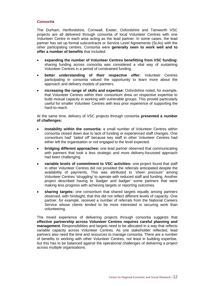#### *Consortia*

The Durham, Hertfordshire, Cornwall, Exeter, Oxfordshire and Tamworth VSC projects are all delivered through consortia of local Volunteer Centres with one Volunteer Centre in each area acting as the lead partner. In some cases, the lead partner has set up formal subcontracts or Service Level Agreements (SLAs) with the other participating centres. Consortia were **generally seen to work well and to offer a number of benefits** that included:

- **expanding the number of Volunteer Centres benefitting from VSC funding:** sharing funding across consortia was considered a vital way of sustaining Volunteer Centres in a period of constrained funding.
- **better understanding of their respective offer:** Volunteer Centres participating in consortia valued the opportunity to learn more about the approach and delivery models of partners.
- **increasing the range of skills and expertise:** Oxfordshire noted, for example, that Volunteer Centres within their consortium drew on respective expertise to build mutual capacity in working with vulnerable groups. This proved particularly useful for smaller Volunteer Centres with less prior experience of supporting the hard-to-reach.

At the same time, delivery of VSC projects through consortia **presented a number of challenges:**

- **instability within the consortia:** a small number of Volunteer Centres within consortia closed down due to lack of funding or experienced staff changes. One consortium had' *'tailed off'* because key staff in other Volunteer Centres had either left the organisation or not engaged to the level expected.
- **bridging different approaches:** one lead partner observed that communicating with partners that took a less strategic and more delivery-focussed approach had been challenging.
- **variable levels of commitment to VSC activities:** one project found that staff in other Volunteer Centres did not provided the referrals anticipated despite the availability of payments. This was attributed to '*sheer pressure'* among Volunteer Centres *'struggling'* to operate with reduced staff and funding. Another project described having to *'badger and badger'* some partners that were making less progress with achieving targets or reporting outcomes.
- **sharing targets:** one consortium that shared targets equally among partners observed, with hindsight, that this did not reflect different levels of capacity. One partner, for example, received a number of referrals from the National Careers Service whose clients tended to be more interested in securing work than volunteering.

The mixed experience of delivering projects through consortia suggests that **effective partnership across Volunteer Centres requires careful planning and management**. Responsibilities and targets need to be allocated in a way that reflects variable capacity across Volunteer Centres. As one stakeholder reflected, lead partners also need the time and resources to manage consortia. There are a number of benefits to working with other Volunteer Centres, not least in building expertise, but this has to be balanced against the operational challenges of delivering a project across multiple organisations.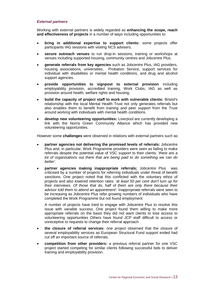#### *External partners*

Working with external partners is widely regarded as **enhancing the scope, reach and effectiveness of projects** in a number of ways including opportunities to:

- **bring in additional expertise to support clients:** some projects offer participants IAG sessions with visiting NCS advisers.
- **secure outreach venues** to run drop-in sessions, training or workshops at venues including supported housing, community centres and Jobcentre Plus.
- **generate referrals from key agencies** such as Jobcentre Plus, IAG providers, housing associations, universities, Probation Service, support services for individual with disabilities or mental health conditions, and drug and alcohol support agencies.
- **provide opportunities to signpost to external provision** including employability provision, accredited training, Work Clubs, IAG as well as provision around health, welfare rights and housing.
- **build the capacity of project staff to work with vulnerable clients:** Bristol's relationship with the local Mental Health Trust not only generates referrals but also enables them to benefit from training and peer support from the Trust around working with individuals with mental health conditions.
- **develop new volunteering opportunities:** Liverpool are currently developing a link with the Norris Green Community Alliance which has provided new volunteering opportunities.

However some **challenges** were observed in relations with external partners such as:

- **partner agencies not delivering the promised levels of referrals:** Jobcentre Plus and, in particular, Work Programme providers were seen as failing to make referrals despite the potential value of VSC support to their clients: *'there are a lot of organisations out there that are being paid to do something we can do better'.*
- **partner agencies making inappropriate referrals;** Jobcentre Plus was criticised by a number of projects for referring individuals under threat of benefit sanctions. One project noted that this conflicted with the voluntary ethos of projects and also lowered retention rates: *'at least 50 per cent don't turn up for their interviews. Of those that do, half of them are only there because their advisor told them to attend an appointment'.* Inappropriate referrals were seen to be increasing as Jobcentre Plus refer growing numbers of individuals who have completed the Work Programme but not found employment

A number of projects have tried to engage with Jobcentre Plus to resolve this issue with variable success. One project found them willing to make more appropriate referrals on the basis they did not want clients to lose access to volunteering opportunities Others have found JCP staff difficult to access or unreceptive to requests to change their referral approach.

- **the closure of referral services:** one project observed that the closure of several employability services as European Structural Fund support ended had cut off an important source of referrals,
- **competition from other providers:** a previous referral partner for one VSC project started competing for similar clients following successful bids to deliver training and employability provision.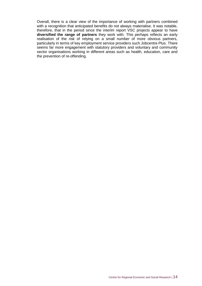Overall, there is a clear view of the importance of working with partners combined with a recognition that anticipated benefits do not always materialise. It was notable, therefore, that in the period since the interim report VSC projects appear to have **diversified the range of partners** they work with. This perhaps reflects an early realisation of the risk of relying on a small number of more obvious partners, particularly in terms of key employment service providers such Jobcentre Plus. There seems far more engagement with statutory providers and voluntary and community sector organisations working in different areas such as health, education, care and the prevention of re-offending.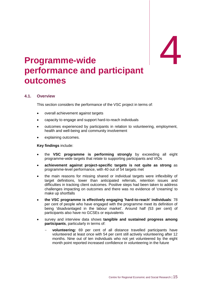# <span id="page-22-0"></span>**Programme-wide performance and participant**  me-wide **4 outcomes**

#### <span id="page-22-1"></span>**4.1. Overview**

This section considers the performance of the VSC project in terms of:

- overall achievement against targets
- capacity to engage and support hard-to-reach individuals
- outcomes experienced by participants in relation to volunteering, employment, health and well-being and community involvement
- explaining outcomes.

**Key findings** include:

- the **VSC programme is performing strongly** by exceeding all eight programme-wide targets that relate to supporting participants and VIOs
- **achievement against project-specific targets is not quite as strong** as programme-level performance, with 40 out of 54 targets met
- the main reasons for missing shared or individual targets were inflexibility of target definitions, lower than anticipated referrals, retention issues and difficulties in tracking client outcomes. Positive steps had been taken to address challenges impacting on outcomes and there was no evidence of 'creaming' to make up shortfalls
- **the VSC programme is effectively engaging 'hard-to-reach' individuals**: 78 per cent of people who have engaged with the programme meet its definition of being 'disadvantaged in the labour market'. Around half (53 per cent) of participants also have no GCSEs or equivalents
- survey and interview data shows **tangible and sustained progress among participants**, particularly in terms of:
	- **volunteering:** 69 per cent of all distance travelled participants have volunteered at least once with 54 per cent still actively volunteering after 12 months. Nine out of ten individuals who not yet volunteered by the eight month point reported increased confidence in volunteering in the future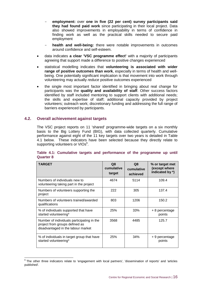- **employment:** over **one in five (22 per cent) survey participants said they had found paid work** since participating in their local project. Data also showed improvements in employability in terms of confidence in finding work as well as the practical skills needed to secure paid employment
- health and well-being: there were notable improvements in outcomes around confidence and self-esteem.
- data indicates **a clear 'VSC programme effect'** with a majority of participants agreeing that support made a difference to positive changes experienced
- statistical modelling indicates that **volunteering is associated with wider range of positive outcomes than work**, especially in terms of health and wellbeing. One potentially significant implication is that movement into work through volunteering may actually *reduce* positive outcomes experienced
- the single most important factor identified in bringing about real change for participants was the **quality and availability of staff**. Other success factors identified by staff included mentoring to support clients with additional needs; the skills and expertise of staff; additional capacity provided by project volunteers; outreach work; discretionary funding and addressing the full range of barriers experienced by participants.

#### <span id="page-23-0"></span>**4.2. Overall achievement against targets**

-

The VSC project reports on 11 'shared' programme-wide targets on a six monthly basis to the Big Lottery Fund (BIG), with data collected quarterly. Cumulative performance against eight of the 11 key targets over two years is detailed in Table 4.1 below. These indicators have been selected because they directly relate to supporting volunteers or VIOs $6$ .

| <b>TARGET</b>                                                                                                      | Q8<br>cumulative<br>target | Q8<br>cumulative<br>achieved | % or target met<br>(except where<br>indicated by *) |
|--------------------------------------------------------------------------------------------------------------------|----------------------------|------------------------------|-----------------------------------------------------|
| Numbers of individuals new to<br>volunteering taking part in the project                                           | 4674                       | 5114                         | 109.4                                               |
| Numbers of volunteers supporting the<br>project                                                                    | 222                        | 305                          | 137.4                                               |
| Numbers of volunteers trained/awarded<br>qualifications                                                            | 803                        | 1206                         | 150.2                                               |
| % of individuals supported that have<br>started volunteering*                                                      | 25%                        | 33%                          | + 8 percentage<br>points                            |
| Number of individuals participating in the<br>project from groups defined as<br>disadvantaged in the labour market | 3568                       | 4485                         | 125.7                                               |
| % of individuals in target group that have<br>started volunteering*                                                | 25%                        | 34%                          | + 9 percentage<br>points                            |

#### **Table 4.1: Cumulative targets and performance of the programme up until Quarter 8**

 $6$  The other three indicators relate to 'engagement with local partners', 'dissemination of reports' and 'articles published'.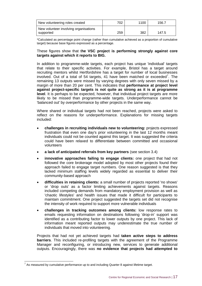| New volunteering roles created                     | 702 | 1100 | 156.7 |
|----------------------------------------------------|-----|------|-------|
| New volunteer involving organisations<br>supported | 259 | 382  | 147.5 |

\*Calculated as percentage point change (rather than cumulative achieved as a proportion of cumulative target) because base figures expressed as a percentage.

#### These figures show that t**he VSC project is performing strongly against core targets against which it reports to BIG.**

In addition to programme-wide targets, each project has unique 'individual' targets that relate to their specific activities. For example, Bristol has a target around recruiting mentors whilst Hertfordshire has a target for number of local businesses involved. Out of a total of 54 targets, 41 have been matched or exceeded<sup>7</sup>. The remaining 13 outputs were missed by varying degrees with only seven missed by a margin of more than 20 per cent. This indicates that **performance at project level against project-specific targets is not quite as strong as it is at programme level**. It is perhaps to be expected, however, that individual project targets are more likely to be missed than programme-wide targets. Underperformance cannot be 'balanced out' by overperformance by other projects in the same way.

Where shared or individual targets had not been reached, projects were asked to reflect on the reasons for underperformance. Explanations for missing targets included:

- **challenges in recruiting individuals new to volunteering:** projects expressed frustration that even one day's prior volunteering in the last 12 months meant individuals could not be counted against this target. It was suggested the criteria could have been relaxed to differentiate between committed and occasional volunteers
- **a lack of anticipated referrals from key partners** (see section 3.4)
- **innovative approaches failing to engage clients:** one project that had not followed the core brokerage model adopted by most other projects found their approach failed to engage target numbers. One reason suggested is that they lacked minimum staffing levels widely regarded as essential to deliver their community-based approach
- **difficulties in retaining clients:** a small number of projects reported 'no shows' or 'drop outs' as a factor limiting achievements against targets. Reasons included competing demands from mandatory employment provision as well as 'chaotic lifestyles' and health issues that made it difficult for participants to maintain commitment. One project suggested the targets set did not recognise the intensity of work required to support more vulnerable individuals
- **challenges in tracking outcomes among clients:** low response rates to emails requesting information on destinations following 'drop-in' support was identified as a contributing factor to lower outputs by one project. This lack of information meant reported outputs may underestimate the true number of individuals that moved into volunteering.

Projects that had not yet achieved targets had **taken active steps to address barriers**. This included re-profiling targets with the agreement of the Programme Manager and reconfiguring, or introducing new, services to generate additional outputs. Encouragingly, there was **no evidence that projects had attempted to** 

**FECULE 2018**<br>This measured by cumulative performance up to and including Quarter 8 against lifetime target.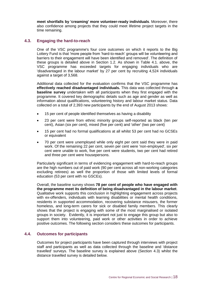**meet shortfalls by 'creaming' more volunteer-ready individuals**. Moreover, there also confidence among projects that they could meet lifetime project targets in the time remaining.

#### <span id="page-25-0"></span>**4.3. Engaging the hard-to-reach**

One of the VSC programme's four core outcomes on which it reports to the Big Lottery Fund is that 'more people from 'hard-to-reach' groups will be volunteering and barriers to their engagement will have been identified and removed'. The definition of these groups is detailed above in Section 1.2. As shown in Table 4.1. above, the VSC programme has exceeded targets for engaging individuals who are 'disadvantaged in the labour market' by 27 per cent by recruiting 4,524 individuals against a target of 3,568.

Additional data collected for the evaluation confirms that the VSC programme has **effectively reached disadvantaged individuals.** This data was collected through **a baseline survey** undertaken with all participants when they first engaged with the programme. It covered key demographic details such as age and gender as well as information about qualifications, volunteering history and labour market status. Data collected on a total of 2,393 new participants by the end of August 2013 shows:

- 15 per cent of people identified themselves as having a disability
- 23 per cent were from ethnic minority groups self-reported as black (ten per cent), Asian (six per cent), mixed (five per cent) and 'other' (two per cent)
- 15 per cent had no formal qualifications at all whilst 53 per cent had no GCSEs or equivalent
- 70 per cent were unemployed while only eight per cent said they were in paid work. Of the remaining 22 per cent, seven per cent were 'non-employed', six per cent were unable to work, five per cent were students, two per cent had retired and three per cent were housepersons.

Particularly significant in terms of evidencing engagement with hard-to-reach groups are the high numbers out of paid work (90 per cent across all non-working categories excluding retirees) as well the proportion of those with limited levels of formal education (53 per cent with no GSCEs).

Overall, the baseline survey shows **78 per cent of people who have engaged with the programme meet its definition of being disadvantaged in the labour market**. Qualitative work supports this conclusion in highlighting engagement across projects with ex-offenders, individuals with learning disabilities or mental health conditions, residents in supported accommodation, recovering substance misusers, the former homeless, and long-term carers for sick or disabled family members. This clearly shows that the project is engaging with some of the most marginalised or isolated groups in society. Evidently, it is important not just to engage this group but also to support them into volunteering, paid work or other activities in order to achieve positive outcomes. The following section considers these outcomes for participants.

#### <span id="page-25-1"></span>**4.4. Outcomes for participants**

Outcomes for project participants have been captured through interviews with project staff and participants as well as data collected through the baseline and 'distance travelled' surveys. The baseline survey is explained above (Section 4.3) whilst the distance travelled survey is detailed below.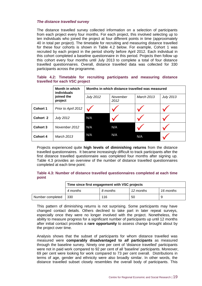#### *The distance travelled survey*

The distance travelled survey collected information on a selection of participants from each project every four months. For each project, this involved selecting up to ten individuals who joined the project at four different points in time (approximately 40 in total per project). The timetable for recruiting and measuring distance travelled for these four cohorts is shown in Table 4.2 below. For example, Cohort 1 was recruited by each project in the period shortly before April 2012. Each individual in this cohort completed a baseline questionnaire in this period. Projects then follow up this cohort every four months until July 2013 to complete a total of four distance travelled questionnaires. Overall, distance travelled data was collected for 330 participants across the programme.

#### **Table 4.2: Timetable for recruiting participants and measuring distance travelled for each VSC project**

|                 | <b>Month in which</b><br><i>individuals</i> | Months in which distance travelled was measured |                  |                   |                  |
|-----------------|---------------------------------------------|-------------------------------------------------|------------------|-------------------|------------------|
|                 | joined the<br>project                       | <b>July 2012</b>                                | November<br>2012 | <b>March 2013</b> | <b>July 2013</b> |
| <b>Cohort 1</b> | Prior to April 2012                         |                                                 |                  |                   |                  |
| Cohort 2        | <b>July 2012</b>                            | N/A                                             |                  |                   |                  |
| Cohort 3        | November 2012                               | N/A                                             | N/A              |                   |                  |
| <b>Cohort 4</b> | <b>March 2013</b>                           | N/A                                             | N/A              | N/A               |                  |

Projects experienced quite **high levels of diminishing returns** from the distance travelled questionnaires. It became increasingly difficult to track participants after the first distance travelled questionnaire was completed four months after signing up. Table 4.3 provides an overview of the number of distance travelled questionnaires completed at each time point:

#### **Table 4.3: Number of distance travelled questionnaires completed at each time point**

|                  | Time since first engagement with VSC projects |          |           |           |
|------------------|-----------------------------------------------|----------|-----------|-----------|
|                  | 4 months                                      | 8 months | 12 months | 16 months |
| Number completed | -330                                          | 116      | 50        |           |

This pattern of diminishing returns is not surprising. Some participants may have changed contact details. Others declined to take part in later repeat surveys, especially once they were no longer involved with the project. Nonetheless, the ability to measure progress for a significant number of participants up until 12 months after initial contact provides a **rare opportunity** to assess change brought about by the project over time.

Analysis shows that the subset of participants for whom distance travelled was measured were **comparably disadvantaged to** *all* **participants** as measured through the baseline survey. Ninety one per cent of 'distance travelled' participants were not in paid work compared to 92 per cent of all 'baseline' participants. Moreover, 69 per cent were looking for work compared to 73 per cent overall. Distributions in terms of age, gender and ethnicity were also broadly similar. In other words, the distance travelled subset closely resembles the overall body of participants. This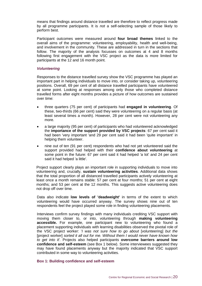means that findings around distance travelled are therefore to reflect progress made by all programme participants. It is *not* a self-selecting sample of those likely to perform best.

Participant outcomes were measured around **four broad themes** linked to the overall aims of the programme: volunteering, employability, health and well-being, and involvement in the community. These are addressed in turn in the sections that follow. The majority of the analysis focusses on outcomes at 4 and 8 months following first engagement with the VSC project as the data is more limited for participants at the 12 and 16 month point.

#### *Volunteering*

Responses to the distance travelled survey show the VSC programme has played an important part in helping individuals to move into, or consider taking up, volunteering positions. Overall, 69 per cent of all distance travelled participants have volunteered at some point. Looking at responses among only those who completed distance travelled forms after eight months provides a picture of how outcomes are sustained over time:

- three quarters (75 per cent) of participants had **engaged in volunteering**. Of these, two-thirds (66 per cent) said they were volunteering on a regular basis (at least several times a month). However, 28 per cent were not volunteering any more.
- a large majority (95 per cent) of participants who had volunteered acknowledged the **importance of the support provided by VSC projects**: 67 per cent said it had been 'very important 'and 29 per cent said it had been 'quite important' in helping them volunteer.
- nine out of ten (91 per cent) respondents who had not yet volunteered said the support provided had helped with their **confidence about volunteering** at some point in the future: 67 per cent said it had helped 'a lot' and 24 per cent said it had helped 'a little'.

Project support clearly plays an important role in supporting individuals to move into volunteering and, crucially, **sustain volunteering activities**. Additional data shows that the total proportion of all distanced travelled participants actively volunteering at least once a month remains stable: 57 per cent at four months; 51 per cent at eight months; and 53 per cent at the 12 months. This suggests active volunteering does not drop off over time.

Data also indicate **low levels of 'deadweight'** in terms of the extent to which volunteering would have occurred anyway. The survey shows nine out of ten respondents feel the project played some role in finding volunteering placements.

Interviews confirm survey findings with many individuals crediting VSC support with moving them closer to, or into, volunteering through **making volunteering accessible.** For example, one participant new to volunteering who found a placement supporting individuals with learning disabilities observed the pivotal role of the VSC project worker: '*I was not sure how to go about* [volunteering] *but the*  [project worker] *sorted it all out for me. Without them I would never have known how to get into it'.* Projects also helped participants **overcome barriers around low confidence and self-esteem** (see Box 1 below). Some interviewees suggested they may have found placements anyway but the majority indicated that VSC support contributed in some way to volunteering activities.

#### **Box 1: Building confidence and self-esteem**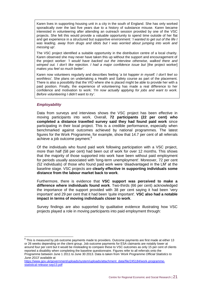Karen lives in supporting housing unit in a city in the south of England. She has only worked sporadically over the last five years due to a history of substance misuse. Karen became interested in volunteering after attending an outreach session provided by one of the VSC projects. She felt this would provide a valuable opportunity to spend time outside of her flat and get experience in a structured but supportive environment: '*I wanted to get out of the life I was leading, away from drugs and idiots but I was worried about jumping into work and messing up'.*

The VSC project identified a suitable opportunity in the distribution centre of a local charity. Karen observed she may never have taken this up without the support and encouragement of the project worker: *'I would have backed out the interview otherwise, walked there and wimped out. I don't like rejection. I had a major confidence issue but* [the project worker] *makes you feel so much better'.*

Karen now volunteers regularly and describes feeling '*a lot happier in myself. I don't feel so worthless'.* She plans on undertaking a Health and Safety course as part of the placement. There is also a possibility that the VIO where she is placed might be able to provide her with a paid position. Finally, the experience of volunteering has made a real difference to her confidence and motivation to work: *'I'm now actually applying for jobs and want to work. Before volunteering I didn't want to try'.*

#### *Employability*

Data from surveys and interviews shows the VSC project has been effective in moving participants into work. Overall, **72 participants (22 per cent) who completed a distance travelled survey said they had found paid work** since participating in their local project. This is a credible performance, especially when benchmarked against outcomes achieved by national programmes. The latest figures for the Work Programme, for example, show that 14.7 per cent of all referrals achieve a job outcome payment.<sup>8</sup>

Of the individuals who found paid work following participation with a VSC project, more than half (58 per cent) had been out of work for over 12 months. This shows that the majority of those supported into work have been without paid employment for periods usually associated with 'long-term unemployment'. Moreover, 72 per cent (52 individuals) of those who found paid work were 'disadvantaged in the LM' at the baseline stage. VSC projects are **clearly effective in supporting individuals some distance from the labour market back to work**.

Furthermore, there is evidence that **VSC support was perceived to make a difference where individuals found work**. Two-thirds (66 per cent) acknowledged the importance of the support provided with 38 per cent saying it had been 'very important' and 29 per cent that it had been 'quite important'. **VSC also had a notable impact in terms of moving individuals closer to work**.

Survey findings are also supported by qualitative evidence illustrating how VSC projects played a role in moving participants into paid employment through:

 8 This is measured by job outcome payments made to providers. Outcome payments are first made at either 13 or 26 weeks depending on the client group. Job outcome payments for ESA claimants are notably lower at around four per cent but it would be misleading to compare these to VSC outcomes as only 15 per cent of clients reported a disability when completing the baseline questionnaire. Figures refer to all referrals onto the Programme between June 1 2011 to June 30 2013. Data is taken from '*Work Programme Official Statistics to June 2013'* available at

[https://www.gov.uk/government/uploads/system/uploads/attachment\\_data/file/245184/work-programme](https://www.gov.uk/government/uploads/system/uploads/attachment_data/file/245184/work-programme-statistical-release-sep13.pdf)[statistical-release-sep13.pdf](https://www.gov.uk/government/uploads/system/uploads/attachment_data/file/245184/work-programme-statistical-release-sep13.pdf)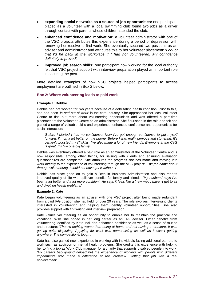- **expanding social networks as a source of job opportunities:** one participant placed as a volunteer with a local swimming club found two jobs as a driver through contact with parents whose children attended the club.
- **enhanced confidence and motivation:** a volunteer administrator with one of the VSC projects attributes this experience during a period of depression with renewing her resolve to find work. She eventually secured two positions as an adviser and administrator and attributes this to her volunteer placement: '*I doubt that I'd be back in the workplace if I had not volunteered. My confidence definitely improved'.*
- **improved job search skills:** one participant now working for the local authority felt that VSC project support with interview preparation played an important role in securing the post.

More detailed examples of how VSC projects helped participants to access employment are outlined in Box 2 below:

#### **Box 2: Where volunteering leads to paid work**

#### **Example 1: Debbie**

Debbie had not worked for two years because of a debilitating health condition. Prior to this, she had been *'in and out of work'* in the care industry. She approached her local Volunteer Centre to find out more about volunteering opportunities and was offered a part-time placement at the Volunteer Centre as an administrator. She flourished in the role and felt she gained a range of valuable skills and experience, enhanced confidence and opportunities for social interaction:

*'Before I started I had no confidence. Now I've got enough confidence to put myself forward. I'm on a lot better on the phone. Before I was really nervous and stuttering. It's certainly boosted my IT skills. I've also made a lot of new friends. Everyone in the CVS is great. It's like one big family.'*

Debbie was eventually offered a paid role as an administrator at the Volunteer Centre and is now responsible, among other things, for liaising with clients and ensuring evaluation questionnaires are completed. She attributes the progress she has made and moving into work directly to the experience of volunteering through the VSC project: *'The job came about through volunteering. I could not have got it without it'.*

Debbie has since gone on to gain a Btec in Business Administration and also reports improved quality of life with spillover benefits for family and friends: *'My husband says I've*  been a lot better and a lot more confident. He says it feels like a 'new me'. I haven't got to sit *and dwell on health problems'.*

#### **Example 2: Kate**

Kate began volunteering as an adviser with one VSC project after being made redundant from a paid IAG position she had held for over 20 years. The role involves interviewing clients interested in volunteering and helping them identify volunteer opportunities. She also provides support with CV writing and interview preparation.

Kate values volunteering as an opportunity to enable her to maintain the practical and vocational skills she honed in her long career as an IAG adviser. Other benefits from volunteering identified by Kate included enhanced confidence as well as a sense of routine and structure: *'There's nothing worse than being at home and not having a structure. It was getting quite dispiriting. Applying for work was demoralising as well as I wasn't getting anywhere. The competition's tough'.*

Kate has also gained new experience in working with individuals facing additional barriers to work such as addiction or mental health problems. She credits this experience with helping her to find a job as Work Club manager for a charity that supports disabled people into work: 'My careers background helped but the experience of working with people with different *impairments also made a difference at the interview. Getting that job was a real achievement'.*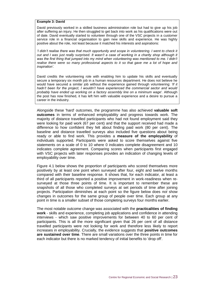#### **Example 3: David**

David previously worked in a skilled business administration role but had to give up his job after suffering an injury. He then struggled to get back into work as his qualifications were out of date. David eventually started to volunteer through one of the VSC projects in a customer service role in a financial organisation to gain new skills and experience. He was highly positive about the role, not least because it matched his interests and aspirations:

*'I didn't realise there was that much opportunity and scope in volunteering. I went to check it out and I was just really surprised. It wasn't a case of working in a charity shop although it was the first thing that jumped into my mind when volunteering was mentioned to me. I didn't realise there were so many professional aspects to it so that gave me a lot of hope and inspiration'.* 

David credits the volunteering role with enabling him to update his skills and eventually secure a temporary six month job in a human resources department. He does not believe he would have secured a similar job without the experience gained through volunteering: *'If it*  hadn't been for the project. I wouldn't have experienced the commercial sector and would *probably have ended up working on a factory assembly line on a minimum wage'.* Although the post has now finished, it has left him with valuable experience and a desire to pursue a career in the industry.

Alongside these 'hard' outcomes, the programme has also achieved **valuable soft outcomes** in terms of enhanced employability and progress towards work. The majority of distance travelled participants who had not found employment said they were looking for paid work (67 per cent) and that the support received had made a difference to how confident they felt about finding paid work (80 per cent). The baseline and distance travelled surveys also included five questions about being ready or able to find work. This provides a **measure of the employability** of individuals supported. Participants were asked to score themselves against five statements on a scale of 0 to 10 where 0 indicates complete disagreement and 10 indicates complete agreement. Comparing scores when participants first engaged with VSC projects with later responses provides an indication of changing levels of employability over time.

Figure 4.1 below shows the proportion of participants who scored themselves more positively by at least one point when surveyed after four, eight and twelve months compared with their baseline response. It shows that, for each indicator, at least a third of all participants reported a positive improvement in work-readiness when resurveyed at those three points of time. It is important to remember these are snapshots of all those who completed surveys at set periods of time after joining projects. Participation diminishes at each point so the figure below does *not* show changes in outcomes for the same group of people over time. Each group at any point in time is a smaller subset of those completing surveys four months earlier.

The most notable outcome change was associated with the **practicalities of finding work** - skills and experience, completing job applications and confidence in attending interviews - which saw positive improvements for between 40 to 60 per cent of participants. This is all the more significant given that 26 per cent of all distance travelled participants were not looking for work and therefore less likely to report increases in employability. Crucially, the evidence suggests that **positive outcomes are sustained over time**. There are small variations over the three points in time for each indicator but there is no marked tendency of initial benefits to 'drop off'.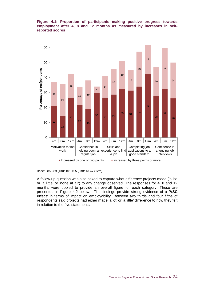#### **Figure 4.1: Proportion of participants making positive progress towards employment after 4, 8 and 12 months as measured by increases in selfreported scores**





A follow-up question was also asked to capture what difference projects made ('a lot' or 'a little' or 'none at all') to any change observed. The responses for 4, 8 and 12 months were pooled to provide an overall figure for each category. These are presented in Figure 4.2 below. The findings provide strong evidence of a **'VSC effect'** in terms of impact on employability. Between two thirds and four fifths of respondents said projects had either made 'a lot' or 'a little' difference to how they felt in relation to the five statements.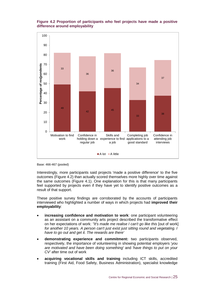#### **Figure 4.2 Proportion of participants who feel projects have made a positive difference around employability**



Base: 466-467 (pooled)

Interestingly, more participants said projects 'made a positive difference' to the five outcomes (Figure 4.2) than actually scored themselves more highly over time against the same outcomes (Figure 4.1). One explanation for this is that many participants feel supported by projects even if they have yet to identify positive outcomes as a result of that support.

These positive survey findings are corroborated by the accounts of participants interviewed who highlighted a number of ways in which projects had **improved their employability**:

- **increasing confidence and motivation to work**: one participant volunteering as an assistant on a community arts project described the transformative effect on her expectations of work: *''It's made me realise I can't go like this* [out of work] *for another 10 years. A person can't just exist just sitting round and vegetating. I have to go out and get it. The rewards are there'*
- **demonstrating experience and commitment:** two participants observed, respectively, the importance of volunteering in showing potential employers '*you are motivated and have been doing something'* and *'have things to put on your CV'* after time out of work
- **acquiring vocational skills and training** including ICT skills, accredited training (First Aid, Food Safety, Business Administration), specialist knowledge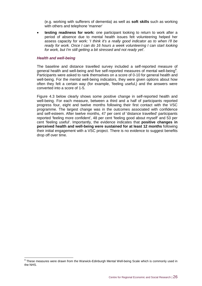(e.g. working with sufferers of dementia) as well as **soft skills** such as working with others and telephone 'manner'

 **testing readiness for work:** one participant looking to return to work after a period of absence due to mental health issues felt volunteering helped her assess capacity for work: '*I think it's a really good indicator as to when I'll be ready for work. Once I can do 16 hours a week volunteering I can start looking for work, but I'm still getting a bit stressed and not ready yet'.*

#### *Health and well-being*

The baseline and distance travelled survey included a self-reported measure of general health and well-being and five self-reported measures of mental well-being<sup>9</sup>. Participants were asked to rank themselves on a score of 0-10 for general health and well-being. For the mental well-being indicators, they were given options about how often they felt a certain way (for example, 'feeling useful,) and the answers were converted into a score of 1-5.

Figure 4.3 below clearly shows some positive change in self-reported health and well-being. For each measure, between a third and a half of participants reported progress four, eight and twelve months following their first contact with the VSC programme. The largest change was in the outcomes associated with confidence and self-esteem. After twelve months, 47 per cent of 'distance travelled' participants reported 'feeling more confident', 48 per cent 'feeling good about myself' and 53 per cent 'feeling useful'. Importantly, the evidence indicates that **positive changes in perceived health and well-being were sustained for at least 12 months** following their initial engagement with a VSC project. There is no evidence to suggest benefits drop off over time.

 9 These measures were drawn from the Warwick-Edinburgh Mental Well-being Scale which is commonly used in the NHS.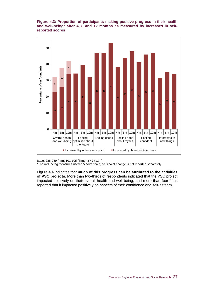#### **Figure 4.3: Proportion of participants making positive progress in their health and well-being\* after 4, 8 and 12 months as measured by increases in selfreported scores**



Base: 285-289 (4m); 101-105 (8m); 43-47 (12m)

\*The well-being measures used a 5 point scale, so 3 point change is not reported separately

Figure 4.4 indicates that **much of this progress can be attributed to the activities of VSC projects**. More than two-thirds of respondents indicated that the VSC project impacted positively on their overall health and well-being, and more than four fifths reported that it impacted positively on aspects of their confidence and self-esteem.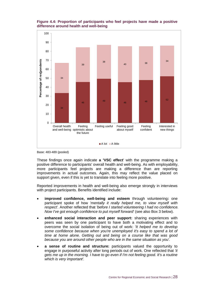#### **Figure 4.4: Proportion of participants who feel projects have made a positive difference around health and well-being**



Base: 483-489 (pooled)

These findings once again indicate **a 'VSC effect**' with the programme making a positive difference to participants' overall health and well-being. As with employability, more participants feel projects are making a difference than are reporting improvements in actual outcomes. Again, this may reflect the value placed on support given, even if this is yet to translate into feeling more positive.

Reported improvements in health and well-being also emerge strongly in interviews with project participants. Benefits identified include:

- **improved confidence, well-being and esteem** through volunteering**:** one participant spoke of how *'mentally it really helped me, to view myself with respect'.* Another reflected that *'before I started volunteering I had no confidence. Now I've got enough confidence to put myself forward'* (see also Box 3 below).
- **enhanced social interaction and peer support:** sharing experiences with peers was seen by one participant to have both a motivating effect and to overcome the social isolation of being out of work: *'It helped me to develop some confidence because when you're unemployed it's easy to spend a lot of time at home alone. Getting out and being on a course like that was good because you are around other people who are in the same situation as you'.*
- **a sense of routine and structure:** participants valued the opportunity to engage in purposeful activity after long periods out of work. One reflected that *'it gets me up in the morning. I have to go even if I'm not feeling good. It's a routine which is very important'.*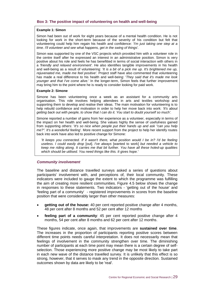#### **Box 3: The positive impact of volunteering on health and well-being**

#### **Example 1: Simon**

Simon had been out of work for eight years because of a mental health condition. He is not looking for work in the short-term because of the severity of his condition but felt that volunteering could help him regain his health and confidence: *'I'm just taking one step at a time. I'll volunteer and see what happens, get in the swing of things'.* 

Simon was supported by one of the VSC projects which provided him with a volunteer role in the centre itself after he expressed an interest in an administrative position. Simon is very positive about his role and feels he has benefitted in terms of social interaction with others in a *'friendly and relaxed environment'.* He also identifies tangible improvements in his health and well-being as a result of volunteering: *'It is a bit of a pick me up. It's brightened me up, rejuvenated me, made me feel positive'.* Project staff have also commented that volunteering has made a real difference to his health and well-being: '*They said that it's made me look younger and that I've come alive.'* In the longer-term, Simon feels that further improvement may bring him to the point where he is ready to consider looking for paid work.

#### **Example 2: Simone**

Simone has been volunteering once a week as an assistant for a community arts organisation. This role involves helping attendees in arts and textiles workshop and supporting them to develop and realise their ideas. The main motivation for volunteering is to help rebuild confidence and motivation in order to help her move back into work: *'It's about getting back out with people, to show that I can do it. You start to doubt yourself so much'.*

Simone reported a number of gains from her experience as a volunteer, especially in terms of the impact on her health and well-being. She values highly the sense of usefulness gained from supporting others: '*It's so nice when people put their hands up and ask "can you help me?". It's a wonderful feeling'.* More recent support from the project to help her identify routes back into work have also led to positive change for Simone:

*'It keeps you connected. If it wasn't there, what position would I be in? I'd be feeling useless. I could easily drop* [out]. *I've always* [wanted to work] *but needed a vehicle to keep me riding along. It carries me that bit further. You have all these holed-up qualities which should be utilised. You need things like this. It gives hope.'*

#### *Community involvement*

The baseline and distance travelled surveys asked a series of questions about participants' involvement with, and perceptions of, their local community. These indicators were included to gauge the extent to which the programme was fulfilling the aim of creating more resilient communities. Figure 4.5 below shows the change in responses to these statements. Two indicators - 'getting out of the house' and 'feeling part of a community' - registered improvements in scores from the baseline position that were considerably larger than other measures:

- **getting out of the house:** 40 per cent reported positive change after 4 months, 48 per cent after 8 months and 52 per cent after 12 months
- **feeling part of a community**: 45 per cent reported positive change after 4 months, 54 per cent after 8 months and 62 per cent after 12 months.

These figures indicate, once again, that improvements are **sustained over time**. The increases in the proportion of participants reporting positive scores between different time points needs careful interpretation. It does not necessarily mean that feelings of involvement in the community strengthen over time. The diminishing number of participants at each time point may mean there is a certain degree of selfselection. Those experiencing more positive change may be most likely to take part in each new wave of the distance travelled survey. It is unlikely that this effect is so strong, however, that it serves to mask any trend in the opposite direction. Sustained outcomes shown by data are likely to be 'real'.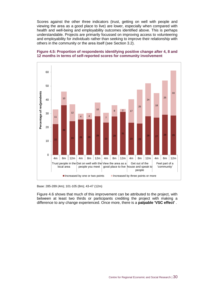Scores against the other three indicators (trust, getting on well with people and viewing the area as a good place to live) are lower, especially when compared with health and well-being and employability outcomes identified above. This is perhaps understandable. Projects are primarily focussed on improving access to volunteering and employability for *individuals* rather than seeking to improve their relationship with others in the community or the area itself (see Section 3.2).

#### **Figure 4.5: Proportion of respondents identifying positive change after 4, 8 and 12 months in terms of self-reported scores for community involvement**



Base: 285-289 (4m); 101-105 (8m); 43-47 (12m)

Figure 4.6 shows that much of this improvement can be attributed to the project, with between at least two thirds or participants crediting the project with making a difference to any change experienced. Once more, there is a **palpable 'VSC effect'** .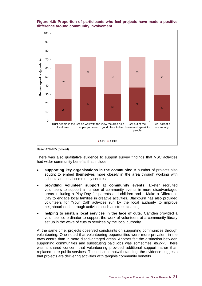

#### **Figure 4.6: Proportion of participants who feel projects have made a positive difference around community involvement**

Base: 479-485 (pooled)

There was also qualitative evidence to support survey findings that VSC activities had wider community benefits that include:

A lot A little

- **supporting key organisations in the community:** A number of projects also sought to embed themselves more closely in the area through working with schools and local community centres
- **providing volunteer support at community events:** Exeter recruited volunteers to support a number of community events in more disadvantaged areas including a Play Day for parents and children and a Make a Difference Day to engage local families in creative activities. Blackburn has also provided volunteers for 'Your Call' activities run by the local authority to improve neighbourhoods through activities such as street cleaning
- **helping to sustain local services in the face of cuts:** Camden provided a volunteer co-ordinator to support the work of volunteers at a community library set up in the wake of cuts to services by the local authority.

At the same time, projects observed constraints on supporting communities through volunteering. One noted that volunteering opportunities were more prevalent in the town centre than in more disadvantaged areas. Another felt the distinction between supporting communities and substituting paid jobs was sometimes *'murky'*. There was a shared concern that volunteering provided additional support rather than replaced core public services. These issues notwithstanding, the evidence suggests that projects are delivering activities with tangible community benefits.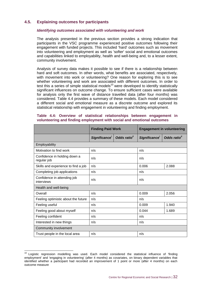### <span id="page-39-0"></span>**4.5. Explaining outcomes for participants**

#### *Identifying outcomes associated with volunteering and work*

The analysis presented in the previous section provides a strong indication that participants in the VSC programme experienced positive outcomes following their engagement with funded projects. This included 'hard' outcomes such as movement into volunteering and employment as well as 'softer' social and emotional outcomes and capabilities linked to employability, health and well-being and, to a lesser extent, community involvement.

Analysis of survey data makes it possible to see if there is a relationship between hard and soft outcomes. In other words, what benefits are associated, respectively, with movement into work or volunteering? One reason for exploring this is to see whether volunteering and work are associated with different outcomes. In order to test this a series of simple statistical models $10$  were developed to identify statistically significant influences on outcome change. To ensure sufficient cases were available for analysis only the first wave of distance travelled data (after four months) was considered. Table 4.4 provides a summary of these models. Each model considered a different social and emotional measure as a discrete outcome and explored its statistical relationship with engagement in volunteering and finding employment.

|                                             | <b>Finding Paid Work</b> |             | <b>Engagement in volunteering</b> |             |
|---------------------------------------------|--------------------------|-------------|-----------------------------------|-------------|
|                                             | Significance'            | Odds ratio" | Significance'                     | Odds ratio" |
| Employability                               |                          |             |                                   |             |
| Motivation to find work                     | n/s                      |             | n/s                               |             |
| Confidence in holding down a<br>regular job | n/s                      |             | n/s                               |             |
| Skills and experience to find a job         | n/s                      |             | 0.006                             | 2.088       |
| Completing job applications                 | n/s                      |             | n/s                               |             |
| Confidence in attending job<br>interviews   | n/s                      |             | n/s                               |             |
| Health and well-being                       |                          |             |                                   |             |
| Overall                                     | n/s                      |             | 0.009                             | 2.056       |
| Feeling optimistic about the future         | n/s                      |             | n/s                               |             |
| Feeling useful                              | n/s                      |             | 0.009                             | 1.940       |
| Feeling good about myself                   | n/s                      |             | 0.044                             | 1.689       |
| Feeling confident                           | n/s                      |             | n/s                               |             |
| Interested in new things                    | n/s                      |             | n/s                               |             |
| Community involvement                       |                          |             |                                   |             |
| n/s<br>Trust people in the local area       |                          | n/s         |                                   |             |

#### **Table 4.4: Overview of statistical relationships between engagement in volunteering and finding employment with social and emotional outcomes**

 $\overline{1}$ 

 $10$  Logistic regression modelling was used. Each model considered the statistical influence of 'finding employment' and 'engaging in volunteering' (after 4 months) as covariates, on binary dependent variables that identified whether a participant had recorded an improvement of 1 point or more (after 4 months) on each outcome measure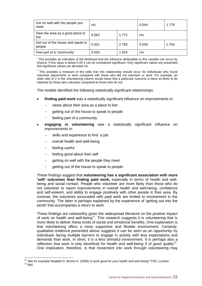| Get on well with the people you<br>meet     | n/s   |       | 0.044 | 1.778 |
|---------------------------------------------|-------|-------|-------|-------|
| View the area as a good place to<br>live    | 0.063 | 1.772 | n/s   |       |
| Get out of the house and speak to<br>people | 0.001 | 2.783 | 0.034 | 1.754 |
| Feel part of a 'community'                  | 0.034 | 1.910 | n/s   |       |

<sup>i</sup> This provides an indication of the likelihood that the influence attributable to this variable can occur by chance. If this value is below 0.05 it can be considered significant. Only significant values are presented. Not significant values are denoted n/s.

<sup>ii</sup> This provides a measure of the odds that this relationship should occur for individuals who found volunteer placements or work compared with those who did not volunteer or work. For example, an odds ratio of 2 in the volunteering column would mean that a particular outcome is twice as likely to be reported by those who volunteer compared to those who do not.

The models identified the following statistically significant relationships:

- **finding paid work** was a statistically significant influence on improvements in:
	- views about their area as a place to live
	- getting out of the house to speak to people
	- feeling part of a community
- **engaging in volunteering** was a statistically significant influence on improvements in:
	- skills and experience to find a job
	- overall health and well-being
	- feeling useful

 $\overline{1}$ 

- feeling good about their self
- getting on well with the people they meet
- getting out of the house to speak to people.

These findings suggest that **volunteering has a significant association with more 'soft' outcomes than finding paid work,** especially in terms of health and wellbeing and social contact. People who volunteer are more likely than those who do not volunteer to report improvements in overall health and well-being, confidence and self-esteem, and ability to engage positively with other people in their area. By contrast, the outcomes associated with paid work are limited to involvement in the community. The latter is perhaps explained by the experience of 'getting out into the world' that accompanies a return to work.

These findings are noteworthy given the widespread literature on the positive impact of work on health and well-being<sup>11</sup>. This research suggests it is volunteering that is more likely to deliver these kinds of social and emotional benefits. One explanation is that volunteering offers a more supportive and flexible environment. Certainly, qualitative evidence presented above suggests it can be seen as an opportunity by individuals facing multiple barriers to engage in activity with less expectations and demands than work. In short, it is a less stressful environment. It is perhaps also a reflection that work is only beneficial for health and well-being if of good quality<sup>12</sup>. One implication, therefore, is that movement into work through volunteering may

<sup>11</sup> See for example Waddell G, Burton K. (2006) *Is work good for your health and well-being?* TSO, London.  $12$  lbid.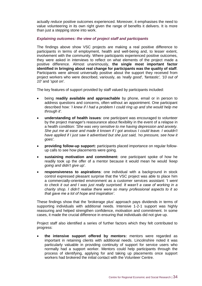actually *reduce* positive outcomes experienced. Moreover, it emphasises the need to value volunteering in its own right given the range of benefits it delivers. It is more than just a stepping stone into work.

#### *Explaining outcomes: the view of project staff and participants*

The findings above show VSC projects are making a real positive difference to participants in terms of employment, health and well-being and, to lesser extent, involvement with the community. Where participants experienced positive outcomes, they were asked in interviews to reflect on what elements of the project made a positive difference. Almost unanimously, **the single most important factor identified in bringing about real change for participants was the quality of staff**. Participants were almost universally positive about the support they received from project workers who were described, variously, as *'really good', 'fantastic', '10 out of 10'* and *'spot on'.*

The key features of support provided by staff valued by participants included:

- being **readily available and approachable** by phone, email or in person to address questions and concerns, often without an appointment. One participant described how: '*I knew if I had a problem I could ring up and she would help me through it'.*
- **understanding of health issues**: one participant was encouraged to volunteer by the project manager's reassurance about flexibility in the event of a relapse in a health condition: *'She was very sensitive to me having depression and anxiety. She put me at ease and made it known if I got anxious I could leave. I wouldn't have applied if I just saw it advertised but she just said, 'no pressure, see how it goes'.*
- **providing follow-up support:** participants placed importance on regular followup calls to see how placements were going.
- **sustaining motivation and commitment:** one participant spoke of how he readily took up the offer of a mentor because it would mean he would *'keep going and didn't give up'.*
- **responsiveness to aspirations**: one individual with a background in stock control expressed pleasant surprise that the VSC project was able to place him a commercially-oriented environment as a customer services assistant: 'I *went to check it out and I was just really surprised. It wasn't a case of working in a charity shop. I didn't realise there were so many professional aspects to it so that gave me a lot of hope and inspiration'.*

These findings show that the 'brokerage plus' approach pays dividends in terms of supporting individuals with additional needs. Intensive 1-2-1 support was highly reassuring and helped strengthen confidence, motivation and commitment. In some cases, it made the crucial difference in ensuring that individuals did not give up.

Project staff also identified a series of further factors which they felt contributed to progress:

 **the intensive support offered by mentors:** mentors were regarded as important in retaining clients with additional needs. Lincolnshire noted it was particularly valuable in providing continuity of support for service users who normally had a support worker. Mentors could help participants through the process of identifying, applying for and taking up placements once support workers had brokered the initial contact with the Volunteer Centre.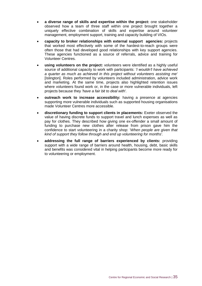- **a diverse range of skills and expertise within the project:** one stakeholder observed how a team of three staff within one project brought together a uniquely effective combination of skills and expertise around volunteer management, employment support, training and capacity building of VIOs.
- **capacity to broker relationships with external support agencies:** projects that worked most effectively with some of the hardest-to-reach groups were often those that had developed good relationships with key support agencies. These agencies functioned as a source of referrals, advice and training for Volunteer Centres.
- **using volunteers on the project:** volunteers were identified as a highly useful source of additional capacity to work with participants: *'I wouldn't have achieved a quarter as much as achieved in this project without volunteers assisting me'*  [Islington]. Roles performed by volunteers included administration, advice work and marketing. At the same time, projects also highlighted retention issues where volunteers found work or, in the case or more vulnerable individuals, left projects because they *'have a fair bit to deal with'.*
- **outreach work to increase accessibility:** having a presence at agencies supporting more vulnerable individuals such as supported housing organisations made Volunteer Centres more accessible.
- **discretionary funding to support clients in placements:** Exeter observed the value of having discrete funds to support travel and lunch expenses as well as pay for clothes. They described how giving one ex-offender a small amount of funding to purchase new clothes after release from prison gave him the confidence to start volunteering in a charity shop: '*When people are given that kind of support they follow through and end up volunteering for months'.*
- **addressing the full range of barriers experienced by clients:** providing support with a wide range of barriers around health, housing, debt, basic skills and benefits was considered vital in helping participants become more ready for to volunteering or employment.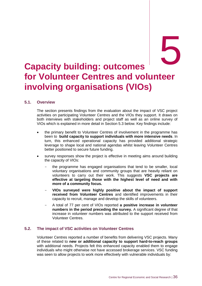### <span id="page-43-0"></span>**Capacity building: outcomes for Volunteer Centres and volunteer involving organisations (VIOs)**

#### <span id="page-43-1"></span>**5.1. Overview**

The section presents findings from the evaluation about the impact of VSC project activities on participating Volunteer Centres and the VIOs they support. It draws on both interviews with stakeholders and project staff as well as an online survey of VIOs which is explained in more detail in Section 5.3 below. Key findings include:

- the primary benefit to Volunteer Centres of involvement in the programme has been to **build capacity to support individuals with more intensive needs**. In turn, this enhanced operational capacity has provided additional strategic leverage to shape local and national agendas whilst leaving Volunteer Centres better positioned to secure future funding.
- survey responses show the project is effective in meeting aims around building the capacity of VIOs:
	- the programme has engaged organisations that tend to be smaller, local voluntary organisations and community groups that are heavily reliant on volunteers to carry out their work. This suggests **VSC projects are effective at targeting those with the highest level of need and with more of a community focus.**
	- **VIOs surveyed were highly positive about the impact of support received from Volunteer Centres** and identified improvements in their capacity to recruit, manage and develop the skills of volunteers.
	- A total of 77 per cent of VIOs reported **a positive increase in volunteer numbers in the period preceding the survey.** A significant degree of that increase in volunteer numbers was attributed to the support received from Volunteer Centres.

#### <span id="page-43-2"></span>**5.2. The impact of VSC activities on Volunteer Centres**

Volunteer Centres reported a number of benefits from delivering VSC projects. Many of these related to **new or additional capacity to support hard-to-reach groups** with additional needs. Projects felt this enhanced capacity enabled them to engage individuals who might otherwise not have accessed brokerage services. VSC funding was seen to allow projects to work more effectively with vulnerable individuals by: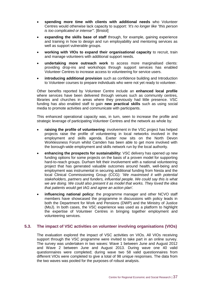- **spending more time with clients with additional needs** who Volunteer Centres would otherwise lack capacity to support: '*It's no longer like "this person is too complicated or intense"'.* [Bristol]
- **expanding the skills base of staff** through, for example, gaining experience and training in how to design and run employability and mentoring services as well as support vulnerable groups.
- **working with VIOs to expand their organisational capacity** to recruit, train and manage volunteers with additional support needs.
- **undertaking more outreach work** to access more marginalised clients: providing drop-ins and workshops through support services has enabled Volunteer Centres to increase access to volunteering for service users.
- **introducing additional provision** such as confidence building and Introduction to Volunteer courses to prepare individuals who were not yet ready to volunteer.

Other benefits reported by Volunteer Centre include an **enhanced local profile** where services have been delivered through venues such as community centres, libraries and churches in areas where they previously had little presence. VSC funding has also enabled staff to gain **new practical skills** such as using social media to promote activities and communicate with participants.

This enhanced operational capacity was, in turn, seen to increase the profile and strategic leverage of participating Volunteer Centres and the network as whole by:

- **raising the profile of volunteering**: involvement in the VSC project has helped projects raise the profile of volunteering in local networks involved in the employment and skills agenda. Exeter now sits on the North Devon Worklessness Forum whilst Camden has been able to get more involved with the borough-wide employment and skills network run by the local authority.
- **enhancing the prospects for sustainability:** VSC delivery has opened up new funding options for some projects on the basis of a proven model for supporting hard-to-reach groups. Durham felt their involvement with a national volunteering project that has generated valuable outcomes around health, well-being and employment was instrumental in securing additional funding from Nesta and the local Clinical Commissioning Group (CCG): '*We maximised it with potential stakeholders, partners and funders, influential people. We could say this is what we are doing. We could also present it as model that works. They loved the idea that patients would get IAG and agree an action plan'.*
- **influencing national policy:** the programme manager and other NCVO staff members have showcased the programme in discussions with policy leads in both the Department for Work and Pensions (DWP) and the Ministry of Justice (MoJ). In both cases, the VSC experience was used as a platform to highlight the expertise of Volunteer Centres in bringing together employment and volunteering services.

#### <span id="page-44-0"></span>**5.3. The impact of VSC activities on volunteer involving organisations (VIOs)**

The evaluation explored the impact of VSC activities on VIOs. All VIOs receiving support through the VSC programme were invited to take part in an online survey. The survey was undertaken in two waves: Wave 1 between June and August 2012 and Wave 2 between June and August 2013. During wave one 40 valid questionnaires were completed; during wave two 58 valid questionnaires from different VIOs were completed to give a total of 98 unique responses. The data from the two waves was pooled for the purposes of robust analysis.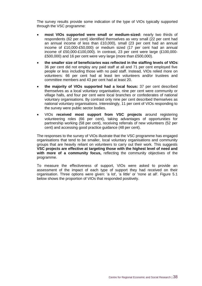The survey results provide some indication of the type of VIOs typically supported through the VSC programme:

- **most VIOs supported were small or medium-sized:** nearly two thirds of respondents (62 per cent) identified themselves as very small (22 per cent had an annual income of less than £10,000), small (23 per cent had an annual income of £10,000-£50,000) or medium sized (17 per cent had an annual income of £50,000-£100,000). In contrast, 23 per cent were large (£100,000- £500,000) and 16 per cent were very large (more than £500,000).
- **the smaller size of beneficiaries was reflected in the staffing levels of VIOs**: 36 per cent did not employ any paid staff at all and 71 per cent employed five people or less including those with no paid staff. Instead, VIOs relied more on volunteers: 66 per cent had at least ten volunteers and/or trustees and committee members and 43 per cent had at least 20.
- **the majority of VIOs supported had a local focus:** 37 per cent described themselves as a local voluntary organisation, nine per cent were community or village halls, and four per cent were local branches or confederates of national voluntary organisations. By contrast only nine per cent described themselves as national voluntary organisations. Interestingly, 11 per cent of VIOs responding to the survey were public sector bodies.
- VIOs **received most support from VSC projects** around registering volunteering roles (66 per cent), taking advantages of opportunities for partnership working (58 per cent), receiving referrals of new volunteers (52 per cent) and accessing good practice guidance (48 per cent).

The responses to the survey of VIOs illustrate that the VSC programme has engaged organisations that tend to be smaller, local voluntary organisations and community groups that are heavily reliant on volunteers to carry out their work. This suggests **VSC projects are effective at targeting those with the highest level of need and with more of a community focus,** reflecting the community objectives of the programme.

To measure the effectiveness of support, VIOs were asked to provide an assessment of the impact of each type of support they had received on their organisation. Three options were given: 'a lot', 'a little' or 'none at all'. Figure 5.1 below shows the proportion of VIOs that responded positively.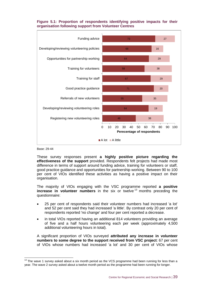#### **Figure 5.1: Proportion of respondents identifying positive impacts for their organisation following support from Volunteer Centres**



Base: 29-44

-

These survey responses present **a highly positive picture regarding the effectiveness of the support** provided. Respondents felt projects had made most difference in terms of support around funding advice, training for volunteers or staff, good practice guidance and opportunities for partnership working. Between 90 to 100 per cent of VIOs identified these activities as having a positive impact on their organisation.

The majority of VIOs engaging with the VSC programme reported **a positive increase in volunteer numbers** in the six or twelve<sup>13</sup> months preceding the questionnaire:

- 25 per cent of respondents said their volunteer numbers had increased 'a lot' and 52 per cent said they had increased 'a little'. By contrast only 20 per cent of respondents reported 'no change' and four per cent reported a decrease.
- in total VIOs reported having an additional 814 volunteers providing an average of five and a half hours volunteering each per week (approximately 4,500 additional volunteering hours in total).

A significant proportion of VIOs surveyed **attributed any increase in volunteer numbers to some degree to the support received from VSC project**: 67 per cent of VIOs whose numbers had increased 'a lot' and 30 per cent of VIOs whose

 $13$  The wave 1 survey asked about a six month period as the VCS programme had been running for less than a year. The wave 2 survey asked about a twelve month period as the programme had been running for longer.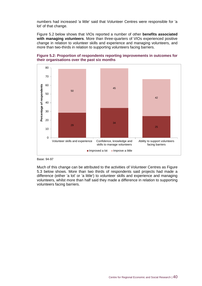numbers had increased 'a little' said that Volunteer Centres were responsible for 'a lot' of that change.

Figure 5.2 below shows that VIOs reported a number of other **benefits associated with managing volunteers**. More than three-quarters of VIOs experienced positive change in relation to volunteer skills and experience and managing volunteers, and more than two-thirds in relation to supporting volunteers facing barriers.





Base: 94-97

Much of this change can be attributed to the activities of Volunteer Centres as Figure 5.3 below shows. More than two thirds of respondents said projects had made a difference (either 'a lot' or 'a little') to volunteer skills and experience and managing volunteers, whilst more than half said they made a difference in relation to supporting volunteers facing barriers.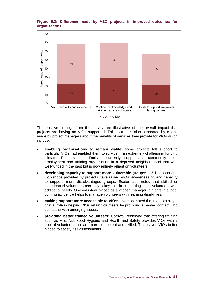

### **Figure 5.3: Difference made by VSC projects in improved outcomes for organisations**

The positive findings from the survey are illustrative of the overall impact that projects are having on VIOs supported. This picture is also supported by claims made by project managers about the benefits of services they provide for VIOs which include:

- **enabling organisations to remain viable**: some projects felt support to particular VIOs had enabled them to survive in an extremely challenging funding climate. For example, Durham currently supports a community-based employment and training organisation in a deprived neighbourhood that was well-funded in the past but is now entirely reliant on volunteers.
- **developing capacity to support more vulnerable groups:** 1-2-1 support and workshops provided by projects have raised VIOs' awareness of, and capacity to support, more disadvantaged groups. Exeter also noted that skilled or experienced volunteers can play a key role in supporting other volunteers with additional needs. One volunteer placed as a kitchen manager in a cafe in a local community centre helps to manage volunteers with learning disabilities.
- **making support more accessible to VIOs:** Liverpool noted that mentors play a crucial role in helping VIOs retain volunteers by providing a named contact who can assist with emerging issues.
- **providing better trained volunteers:** Cornwall observed that offering training such as First Aid, Food Hygiene and Health and Safety provides VIOs with a pool of volunteers that are more competent and skilled. This leaves VIOs better placed to satisfy risk assessments.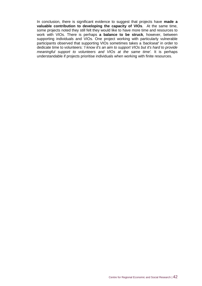In conclusion, there is significant evidence to suggest that projects have **made a valuable contribution to developing the capacity of VIOs**. At the same time, some projects noted they still felt they would like to have more time and resources to work with VIOs. There is perhaps **a balance to be struck**, however, between supporting individuals and VIOs. One project working with particularly vulnerable participants observed that supporting VIOs sometimes takes a *'backseat'* in order to dedicate time to volunteers: *'I know it's an aim to support VIOs but it's hard to provide meaningful support to volunteers and VIOs at the same time'.* It is perhaps understandable if projects prioritise individuals when working with finite resources.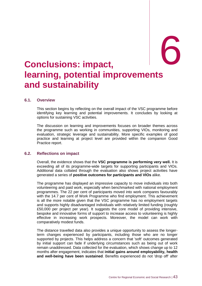# <span id="page-50-0"></span>6. **Conclusions: impact,** 6 **learning, potential improvements and sustainability**

#### <span id="page-50-1"></span>**6.1. Overview**

This section begins by reflecting on the overall impact of the VSC programme before identifying key learning and potential improvements. It concludes by looking at options for sustaining VSC activities.

The discussion on learning and improvements focuses on broader themes across the programme such as working in communities, supporting VIOs, monitoring and evaluation, strategic leverage and sustainability. More specific examples of good practice and learning at project level are provided within the companion Good Practice report.

#### <span id="page-50-2"></span>**6.2. Reflections on impact**

Overall, the evidence shows that the **VSC programme is performing very well.** It is exceeding all of its programme-wide targets for supporting participants and VIOs. Additional data collated through the evaluation also shows project activities have generated a series of **positive outcomes for participants and VIOs** alike.

The programme has displayed an impressive capacity to move individuals into both volunteering and paid work, especially when benchmarked with national employment programmes. The 22 per cent of participants moved into work compares favourably with the 14.7 per cent of Work Programme who find employment. This achievement is all the more notable given that the VSC programme has no employment targets and supports highly disadvantaged individuals with relatively limited funding (roughly £50,000 per project per year). It suggests the core model of providing intensive, bespoke and innovative forms of support to increase access to volunteering is highly effective in increasing work prospects. Moreover, the model can work with comparatively modest funds.

The distance travelled data also provides a unique opportunity to assess the longerterm changes experienced by participants, including those who are no longer supported by projects. This helps address a concern that 'soft' outcomes generated by initial support can fade if underlying circumstances such as being out of work remain unaddressed. Data collected for the evaluation, which shows change up to 12 months after engagement, indicates that **initial gains around employability, health and well-being have been sustained**. Benefits experienced do not 'drop off' after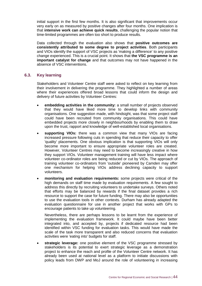initial support in the first few months. It is also significant that improvements occur very early on as measured by positive changes after four months. One implication is that **intensive work can achieve quick results**, challenging the popular notion that time-limited programmes are often too short to produce results.

Data collected through the evaluation also shows that **positive outcomes are consistently attributed to some degree to project activities**. Both participants and VIOs identify the support of VSC projects as 'making a difference' to any positive change experienced. This is a crucial point. It shows that **the VSC programme is an important catalyst for change** and that outcomes may not have happened in the absence of VSC interventions.

#### <span id="page-51-0"></span>**6.3. Key learning**

Stakeholders and Volunteer Centre staff were asked to reflect on key learning from their involvement in delivering the programme. They highlighted a number of areas where their experiences offered broad lessons that could inform the design and delivery of future activities by Volunteer Centres:

- **embedding activities in the community:** a small number of projects observed that they would have liked more time to develop links with community organisations. One suggestion made, with hindsight, was that some project staff could have been recruited from community organisations. This could have embedded projects more closely in neighbourhoods by enabling them to draw upon the trust, rapport and knowledge of well-established local organisations.
- **supporting VIOs:** there was a common view that many VIOs are facing increased pressure following cuts in spending that reduce their capacity to offer 'quality' placements. One obvious implication is that supporting VIOs will only become more important to ensure appropriate volunteer roles are created. However, Volunteer Centres may need to become increasingly creative in how they support VIOs. Volunteer management training will have less impact where volunteer co-ordinator roles are being reduced or cut by VIOs. The approach of training volunteer co-ordinators from 'outside' pioneered by Camden may offer one mechanism for helping VIOs address declining capacity to support volunteers.
- **monitoring and evaluation requirements:** some projects were critical of the high demands on staff time made by evaluation requirements. A few sought to address this directly by recruiting volunteers to undertake surveys. Others noted that efforts may be balanced by rewards if the final dataset provides a rich resource to support the case for future funding. There may also be opportunities to use the evaluation tools in other contexts. Durham has already adapted the evaluation questionnaire for use in another project that works with GPs to encourage patients to take up volunteering.

Nevertheless, there are perhaps lessons to be learnt from the experience of implementing the evaluation framework. It could maybe have been better integrated into, and accepted by, projects if dedicated resource had been identified within VSC funding for evaluation tasks. This would have made the scale of the task more transparent and also reduced concerns that evaluation activities were 'eating into' budgets for staff.

 **strategic leverage:** one positive element of the VSC programme stressed by stakeholders is its potential to exert strategic leverage as a demonstration project to enhance the reach and profile of the Volunteer Centre network. It has already been used at national level as a platform to initiate discussions with policy leads from DWP and MoJ around the role of volunteering in increasing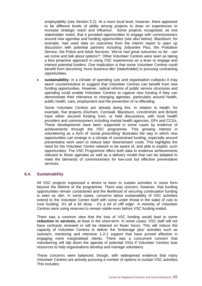employability (see Section 5.2). At a more local level, however, there appeared to be different levels of ability among projects to draw on experiences to increase strategic reach and influence. Some projects recognised, as one stakeholder noted, that it provided opportunities to engage with commissioners around new agendas and funding opportunities (see also below). Blackburn, for example, had used data on outcomes from the interim report to open up discussion with potential partners including Jobcentre Plus, the Probation Service, the Police and Adult Services: '*We've had great outcomes so far - can we come and talk about options?'.* Other Volunteer Centres were seen as taking a less proactive approach in using VSC experiences as a lever to engage and interest potential funders. One implication is that some Volunteer Centres could benefit from becoming *'more business-like'* [stakeholder] in pursuing contracting opportunities.

 **sustainability:** in a climate of spending cuts and organisation cutbacks it may seem counterintuitive to suggest that Volunteer Centres can benefit from new funding opportunities. However, radical reforms of public service structures and spending could enable Volunteer Centres to capture new funding if they can demonstrate their relevance to changing agendas, particularly around health, public health, care, employment and the prevention of re-offending.

Some Volunteer Centres are already doing this. In relation to health, for example, five projects (Durham, Cornwall, Blackburn, Lincolnshire and Bristol) have either secured funding from, or held discussions, with local health providers and commissioners including mental health agencies, GPs and CCGs. These developments have been supported in some cases by evidence of achievements through the VSC programme. This growing interest in volunteering as a form of 'social prescribing' illustrates the way in which new opportunities can emerge in a climate of constrained funding, especially around preventative work seen to reduce later 'downstream' costs. This highlights the need for the Volunteer Centre network to be aware of, and able to exploit, such opportunities. The VSC Programme offers both data to evidence achievements relevant to these agendas as well as a delivery model that can be adapted to meet the demands of commissioners for low-cost but effective preventative services.

#### <span id="page-52-0"></span>**6.4. Sustainability**

All VSC projects expressed a desire to keen to sustain activities in some form beyond the lifetime of the programme. There was concern, however, that funding opportunities remain constrained and the likelihood of securing continuation funding is seen as slim. In some cases, concerns about sustainability of VSC activities extend to the Volunteer Centre itself with some under threat in the wake of cuts to core funding: *'it's all a bit dicey - it's a bit of cliff edge'.* A minority of Volunteer Centres were using reserves to remain viable even before VSC funding ended.

There was a common view that the loss of VSC funding would lead to some **reduction in services,** at least in the short-term. In some cases, VSC staff will not have contracts renewed or will be retained on fewer hours. This will reduce the capacity of Volunteer Centres to deliver the 'brokerage plus' activities such as outreach, mentoring and intensive 1-2-1 support that have proved effective in engaging more marginalised clients. There was a concurrent concern that volunteering will slip down the agenda of potential VIOs if Volunteer Centres lose resources to help organisations develop and manage volunteers.

These concerns were balanced, though, with widespread evidence that many Volunteer Centres are actively pursuing a number of options to sustain VSC activities. This includes: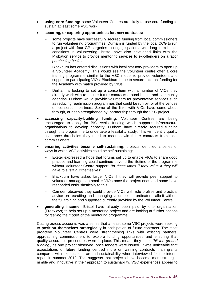- **using core funding:** some Volunteer Centres are likely to use core funding to sustain at least some VSC work.
- **securing, or exploring opportunities for, new contracts:**
	- some projects have successfully secured funding from local commissioners to run volunteering programmes. Durham is funded by the local CCG to run a project with four GP surgeries to engage patients with long-term health conditions in volunteering. Bristol have also developed links with the Probation service to provide mentoring services to ex-offenders on a *'spot purchasing basis'.*
	- Blackburn has entered discussions with local statutory providers to open up a Volunteer Academy. This would see the Volunteer centre offer a core training programme similar to the VSC model to provide volunteers and support to participating VIOs. Blackburn hope to secure external funding for the Academy with match provided by VIOs.
	- Durham is looking to set up a consortium with a number of VIOs they already work with to secure future contracts around health and community agendas. Durham would provide volunteers for preventative services such as reducing readmission programmes that could be run by, or at the venues of, consortium partners. Some of the links with VIOs have come about through, or been strengthened by, partnership through the VSC project.
- **accessing capacity-building funding**: Volunteer Centres are being encouraged to apply for BIG Assist funding which supports infrastructure organisations to develop capacity. Durham have already secured funding through this programme to undertake a feasibility study. This will identify quality assurance thresholds they need to meet to win future contracts from local commissioners.
- **ensuring activities become self-sustaining:** projects identified a series of ways in which VSC activities could be self-sustaining:
	- Exeter expressed a hope that forums set up to enable VIOs to share good practice and learning could continue beyond the lifetime of the programme without Volunteer Centre support: '*In these times if they value it they will have to sustain it themselves'.*
	- Blackburn have asked larger VIOs if they will provide peer support to volunteer managers in smaller VIOs once the project ends and some have responded enthusiastically to this.
	- Camden observed they could provide VIOs with role profiles and practical advice on recruiting and managing volunteer co-ordinators, albeit without the full training and supported currently provided by the Volunteer Centre.
- **generating income:** Bristol have already been paid by one organisation (Freeways) to help set up a mentoring project and are looking at further options for *'selling the model'* of the mentoring programme.

Cutting across accounts was a sense that at least some VSC projects were seeking to **position themselves strategically** in anticipation of future contracts. The most proactive Volunteer Centres were strengthening links with existing partners, approaching commissioners to explore funding opportunities and ensuring that quality assurance procedures were in place. This meant they could *'hit the ground running'*, as one project observed, once tenders were issued. It was noticeable that expectations of future funding centred more on winning contracts than grants compared with expectations around sustainability when interviewed for the interim report in summer 2012. This suggests that projects have become more strategic, nimble and innovative in their approach to sustainability. VSC experiences appear to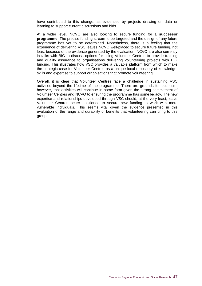have contributed to this change, as evidenced by projects drawing on data or learning to support current discussions and bids.

At a wider level, NCVO are also looking to secure funding for a **successor programme**. The precise funding stream to be targeted and the design of any future programme has yet to be determined. Nonetheless, there is a feeling that the experience of delivering VSC leaves NCVO well-placed to secure future funding, not least because of the evidence generated by the evaluation. NCVO are also currently in talks with BIG to discuss options for using Volunteer Centres to provide training and quality assurance to organisations delivering volunteering projects with BIG funding. This illustrates how VSC provides a valuable platform from which to make the strategic case for Volunteer Centres as a unique local repository of knowledge, skills and expertise to support organisations that promote volunteering.

Overall, it is clear that Volunteer Centres face a challenge in sustaining VSC activities beyond the lifetime of the programme. There are grounds for optimism, however, that activities will continue in some form given the strong commitment of Volunteer Centres and NCVO to ensuring the programme has some legacy. The new expertise and relationships developed through VSC should, at the very least, leave Volunteer Centres better positioned to secure new funding to work with more vulnerable individuals. This seems vital given the evidence presented in this evaluation of the range and durability of benefits that volunteering can bring to this group.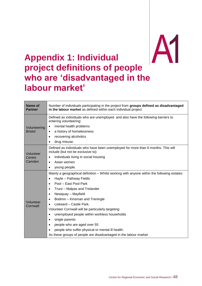# <span id="page-55-0"></span>**Appendix 1: Individual project definition s of people**  A1 **who are 'disadvantaged in the labour market'**

| Name of<br><b>Partner</b>      | Number of individuals participating in the project from groups defined as disadvantaged<br>in the labour market as defined within each individual project                                                                                                                                                                                                                                                                                                                                                                                                                                                                                                                          |  |  |  |
|--------------------------------|------------------------------------------------------------------------------------------------------------------------------------------------------------------------------------------------------------------------------------------------------------------------------------------------------------------------------------------------------------------------------------------------------------------------------------------------------------------------------------------------------------------------------------------------------------------------------------------------------------------------------------------------------------------------------------|--|--|--|
| Volunteering<br><b>Bristol</b> | Defined as individuals who are unemployed and also have the following barriers to<br>entering volunteering:<br>mental health problems<br>$\bullet$<br>a history of homelessness<br>$\bullet$<br>recovering alcoholics<br>$\bullet$<br>drug misuse.<br>$\bullet$                                                                                                                                                                                                                                                                                                                                                                                                                    |  |  |  |
| Volunteer<br>Centre<br>Camden  | Defined as individuals who have been unemployed for more than 6 months. This will<br>include (but not be exclusive to):<br>individuals living in social housing<br>$\bullet$<br>Asian women<br>$\bullet$<br>young people.<br>$\bullet$                                                                                                                                                                                                                                                                                                                                                                                                                                             |  |  |  |
| Volunteer<br>Cornwall          | Mainly a geographical definition – Whilst working with anyone within the following estates:<br>Hayle - Pathway Fields<br>$\bullet$<br>Pool - East Pool Park<br>$\bullet$<br>Truro - Malpas and Trelander<br>$\bullet$<br>Newquay - Mayfield<br>$\bullet$<br>Bodmin - Kinsman and Treningle<br>$\bullet$<br>Liskeard - Castle Park.<br>$\bullet$<br>Volunteer Cornwall will be particularly targeting:<br>unemployed people within workless households<br>$\bullet$<br>single parents<br>$\bullet$<br>people who are aged over 55<br>$\bullet$<br>people who suffer physical or mental ill health.<br>$\bullet$<br>As these groups of people are disadvantaged in the labour market |  |  |  |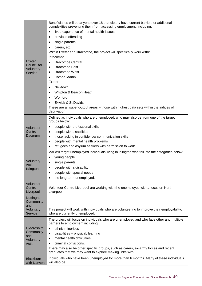| Exeter<br>Council for<br>Voluntary<br>Service                              | Beneficiaries will be anyone over 18 that clearly have current barriers or additional<br>complexities preventing them from accessing employment, including:<br>lived experience of mental health issues<br>$\bullet$<br>previous offending<br>٠<br>single parents<br>$\bullet$<br>carers, etc.<br>Within Exeter and Ilfracombe, the project will specifically work within:<br><b>Ilfracombe</b><br><b>Ilfracombe Central</b><br>$\bullet$<br><b>Ilfracombe East</b><br>$\bullet$<br><b>Ilfracombe West</b><br>$\bullet$<br>Combe Martin.<br>$\bullet$<br>Exeter<br><b>Newtown</b><br>$\bullet$<br>Whipton & Beacon Heath<br>٠<br>Wonford<br>$\bullet$<br>Exwick & St.Davids.<br>These are all super-output areas – those with highest data sets within the indices of<br>deprivation |
|----------------------------------------------------------------------------|--------------------------------------------------------------------------------------------------------------------------------------------------------------------------------------------------------------------------------------------------------------------------------------------------------------------------------------------------------------------------------------------------------------------------------------------------------------------------------------------------------------------------------------------------------------------------------------------------------------------------------------------------------------------------------------------------------------------------------------------------------------------------------------|
| Volunteer<br>Centre<br>Dacorum                                             | Defined as individuals who are unemployed, who may also be from one of the target<br>groups below:<br>people with professional skills<br>٠<br>people with disabilities<br>$\bullet$<br>those lacking in confidence/ communication skills<br>$\bullet$<br>people with mental health problems<br>$\bullet$<br>refugees and asylum seekers with permission to work.<br>٠                                                                                                                                                                                                                                                                                                                                                                                                                |
| Voluntary<br>Action<br>Islington                                           | VAI will target unemployed individuals living in Islington who fall into the categories below:<br>young people<br>٠<br>single parents<br>$\bullet$<br>people with a disability<br>$\bullet$<br>people with special needs<br>٠<br>the long-term unemployed.<br>$\bullet$                                                                                                                                                                                                                                                                                                                                                                                                                                                                                                              |
| Volunteer<br>Centre<br>Liverpool                                           | Volunteer Centre Liverpool are working with the unemployed with a focus on North<br>Liverpool.                                                                                                                                                                                                                                                                                                                                                                                                                                                                                                                                                                                                                                                                                       |
| Nottingham<br>Community<br>and<br>Voluntary<br>Service                     | This project will work with individuals who are volunteering to improve their employability,<br>who are currently unemployed.                                                                                                                                                                                                                                                                                                                                                                                                                                                                                                                                                                                                                                                        |
| Oxfordshire<br>Community<br>and<br>Voluntary<br>Action<br><b>Blackburn</b> | The project will focus on individuals who are unemployed and who face other and multiple<br>barriers to employment including:<br>ethnic minorities<br>$\bullet$<br>disabilities - physical, learning<br>$\bullet$<br>mental health difficulties<br>$\bullet$<br>criminal convictions.<br>$\bullet$<br>There may also be other specific groups, such as carers, ex-army forces and recent<br>graduates that we may want to explore making links with.<br>Individuals who have been unemployed for more than 6 months. Many of these individuals                                                                                                                                                                                                                                       |
| with Darwen                                                                | will also be                                                                                                                                                                                                                                                                                                                                                                                                                                                                                                                                                                                                                                                                                                                                                                         |